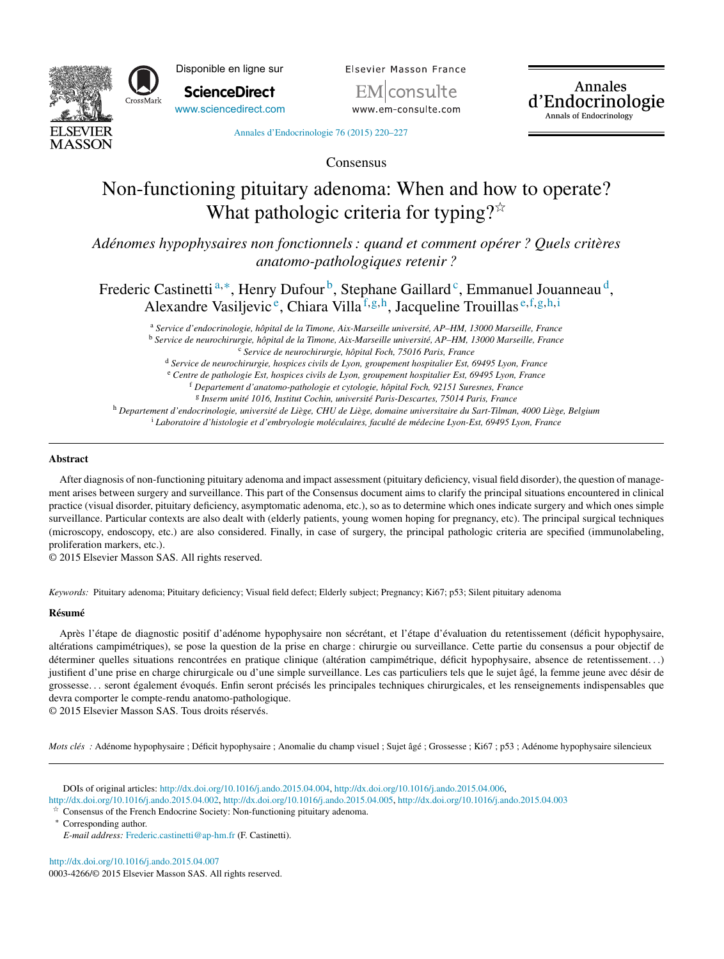

Disponible en ligne sur **ScienceDirect**

[www.sciencedirect.com](http://www.sciencedirect.com/science/journal/00034266)

Elsevier Masson France

www.em-consulte.com

Annales d'Endocrinologie Annals of Endocrinology

Annales [d'Endocrinologie](dx.doi.org/10.1016/j.ando.2015.04.007) 76 (2015) 220–227

Consensus

# Non-functioning pituitary adenoma: When and how to operate? What pathologic criteria for typing? $\overline{\alpha}$

*Adénomes hypophysaires non fonctionnels: quand et comment opérer ? Quels critères anatomo-pathologiques retenir ?*

Frederic Castinetti<sup>a,∗</sup>, Henry Dufour<sup>b</sup>, Stephane Gaillard<sup>c</sup>, Emmanuel Jouanneau<sup>d</sup>, Alexandre Vasiljevic<sup>e</sup>, Chiara Villa<sup>f,g,h</sup>, Jacqueline Trouillas e,f,g,h,i

<sup>a</sup> *Service d'endocrinologie, hôpital de la Timone, Aix-Marseille université, AP–HM, 13000 Marseille, France* <sup>b</sup> *Service de neurochirurgie, hôpital de la Timone, Aix-Marseille université, AP–HM, 13000 Marseille, France* <sup>c</sup> *Service de neurochirurgie, hôpital Foch, 75016 Paris, France*

<sup>d</sup> *Service de neurochirurgie, hospices civils de Lyon, groupement hospitalier Est, 69495 Lyon, France*

<sup>e</sup> *Centre de pathologie Est, hospices civils de Lyon, groupement hospitalier Est, 69495 Lyon, France*

<sup>f</sup> *Departement d'anatomo-pathologie et cytologie, hôpital Foch, 92151 Suresnes, France*

<sup>g</sup> *Inserm unité 1016, Institut Cochin, université Paris-Descartes, 75014 Paris, France*

h Departement d'endocrinologie, université de Liège, CHU de Liège, domaine universitaire du Sart-Tilman, 4000 Liège, Belgium <sup>i</sup> *Laboratoire d'histologie et d'embryologie moléculaires, faculté de médecine Lyon-Est, 69495 Lyon, France*

# **Abstract**

After diagnosis of non-functioning pituitary adenoma and impact assessment (pituitary deficiency, visual field disorder), the question of management arises between surgery and surveillance. This part of the Consensus document aims to clarify the principal situations encountered in clinical practice (visual disorder, pituitary deficiency, asymptomatic adenoma, etc.), so as to determine which ones indicate surgery and which ones simple surveillance. Particular contexts are also dealt with (elderly patients, young women hoping for pregnancy, etc). The principal surgical techniques (microscopy, endoscopy, etc.) are also considered. Finally, in case of surgery, the principal pathologic criteria are specified (immunolabeling, proliferation markers, etc.).

© 2015 Elsevier Masson SAS. All rights reserved.

*Keywords:* Pituitary adenoma; Pituitary deficiency; Visual field defect; Elderly subject; Pregnancy; Ki67; p53; Silent pituitary adenoma

# **Résumé**

Après l'étape de diagnostic positif d'adénome hypophysaire non sécrétant, et l'étape d'évaluation du retentissement (déficit hypophysaire, altérations campimétriques), se pose la question de la prise en charge : chirurgie ou surveillance. Cette partie du consensus a pour objectif de déterminer quelles situations rencontrées en pratique clinique (altération campimétrique, déficit hypophysaire, absence de retentissement...) justifient d'une prise en charge chirurgicale ou d'une simple surveillance. Les cas particuliers tels que le sujet âgé, la femme jeune avec désir de grossesse. . . seront également évoqués. Enfin seront précisés les principales techniques chirurgicales, et les renseignements indispensables que devra comporter le compte-rendu anatomo-pathologique.

© 2015 Elsevier Masson SAS. Tous droits réservés.

*Mots clés* : Adénome hypophysaire ; Déficit hypophysaire ; Anomalie du champ visuel ; Sujet âgé ; Grossesse ; Ki67 ; p53 ; Adénome hypophysaire silencieux

DOIs of original articles: <http://dx.doi.org/10.1016/j.ando.2015.04.004>, [http://dx.doi.org/10.1016/j.ando.2015.04.006,](http://dx.doi.org/10.1016/j.ando.2015.04.006) <http://dx.doi.org/10.1016/j.ando.2015.04.002>, [http://dx.doi.org/10.1016/j.ando.2015.04.005,](http://dx.doi.org/10.1016/j.ando.2015.04.005) <http://dx.doi.org/10.1016/j.ando.2015.04.003>

t, Consensus of the French Endocrine Society: Non-functioning pituitary adenoma.

Corresponding author.

*E-mail address:* [Frederic.castinetti@ap-hm.fr](mailto:Frederic.castinetti@ap-hm.fr) (F. Castinetti).

[http://dx.doi.org/10.1016/j.ando.2015.04.007](dx.doi.org/10.1016/j.ando.2015.04.007) 0003-4266/© 2015 Elsevier Masson SAS. All rights reserved.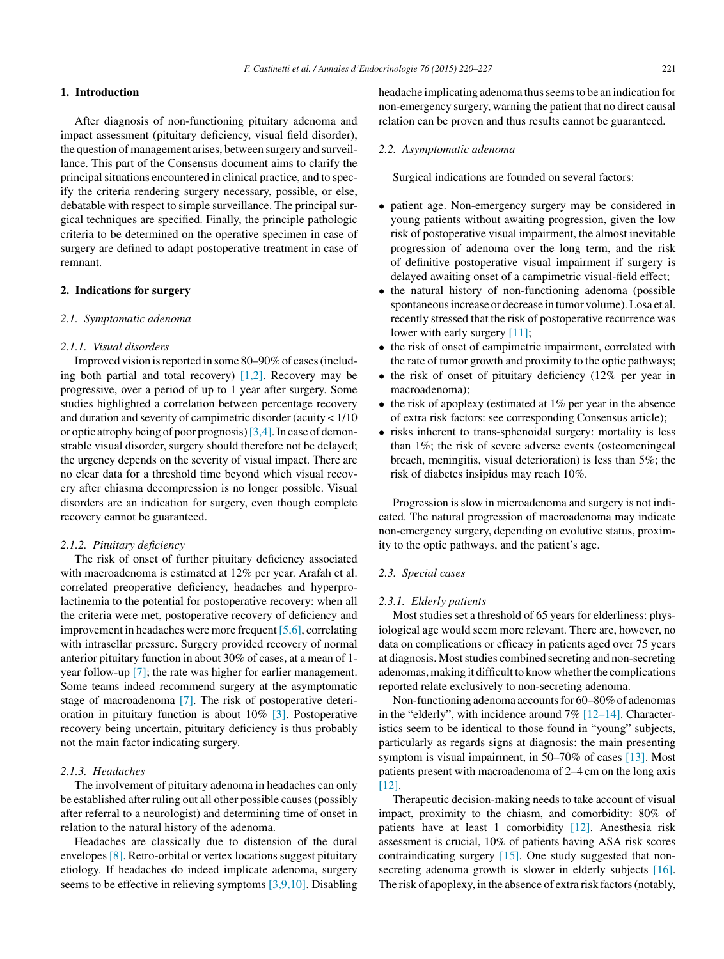# **1. Introduction**

After diagnosis of non-functioning pituitary adenoma and impact assessment (pituitary deficiency, visual field disorder), the question of management arises, between surgery and surveillance. This part of the Consensus document aims to clarify the principalsituations encountered in clinical practice, and to specify the criteria rendering surgery necessary, possible, or else, debatable with respect to simple surveillance. The principal surgical techniques are specified. Finally, the principle pathologic criteria to be determined on the operative specimen in case of surgery are defined to adapt postoperative treatment in case of remnant.

# **2. Indications for surgery**

### *2.1. Symptomatic adenoma*

# *2.1.1. Visual disorders*

Improved vision is reported in some 80–90% of cases (including both partial and total recovery) [\[1,2\].](#page-5-0) Recovery may be progressive, over a period of up to 1 year after surgery. Some studies highlighted a correlation between percentage recovery and duration and severity of campimetric disorder (acuity < 1/10 or optic atrophy being of poor prognosis)[\[3,4\].I](#page-5-0)n case of demonstrable visual disorder, surgery should therefore not be delayed; the urgency depends on the severity of visual impact. There are no clear data for a threshold time beyond which visual recovery after chiasma decompression is no longer possible. Visual disorders are an indication for surgery, even though complete recovery cannot be guaranteed.

### *2.1.2. Pituitary deficiency*

The risk of onset of further pituitary deficiency associated with macroadenoma is estimated at 12% per year. Arafah et al. correlated preoperative deficiency, headaches and hyperprolactinemia to the potential for postoperative recovery: when all the criteria were met, postoperative recovery of deficiency and improvement in headaches were more frequent [\[5,6\],](#page-5-0) correlating with intrasellar pressure. Surgery provided recovery of normal anterior pituitary function in about 30% of cases, at a mean of 1 year follow-up [\[7\];](#page-5-0) the rate was higher for earlier management. Some teams indeed recommend surgery at the asymptomatic stage of macroadenoma [\[7\].](#page-5-0) The risk of postoperative deterioration in pituitary function is about 10% [\[3\].](#page-5-0) Postoperative recovery being uncertain, pituitary deficiency is thus probably not the main factor indicating surgery.

# *2.1.3. Headaches*

The involvement of pituitary adenoma in headaches can only be established after ruling out all other possible causes(possibly after referral to a neurologist) and determining time of onset in relation to the natural history of the adenoma.

Headaches are classically due to distension of the dural envelopes [\[8\].](#page-5-0) Retro-orbital or vertex locations suggest pituitary etiology. If headaches do indeed implicate adenoma, surgery seems to be effective in relieving symptoms [\[3,9,10\].](#page-5-0) Disabling headache implicating adenoma thusseemsto be an indication for non-emergency surgery, warning the patient that no direct causal relation can be proven and thus results cannot be guaranteed.

### *2.2. Asymptomatic adenoma*

Surgical indications are founded on several factors:

- patient age. Non-emergency surgery may be considered in young patients without awaiting progression, given the low risk of postoperative visual impairment, the almost inevitable progression of adenoma over the long term, and the risk of definitive postoperative visual impairment if surgery is delayed awaiting onset of a campimetric visual-field effect;
- the natural history of non-functioning adenoma (possible spontaneous increase or decrease in tumor volume). Losa et al. recently stressed that the risk of postoperative recurrence was lower with early surgery [\[11\];](#page-6-0)
- the risk of onset of campimetric impairment, correlated with the rate of tumor growth and proximity to the optic pathways;
- the risk of onset of pituitary deficiency (12% per year in macroadenoma);
- the risk of apoplexy (estimated at  $1\%$  per year in the absence of extra risk factors: see corresponding Consensus article);
- risks inherent to trans-sphenoidal surgery: mortality is less than 1%; the risk of severe adverse events (osteomeningeal breach, meningitis, visual deterioration) is less than 5%; the risk of diabetes insipidus may reach 10%.

Progression is slow in microadenoma and surgery is not indicated. The natural progression of macroadenoma may indicate non-emergency surgery, depending on evolutive status, proximity to the optic pathways, and the patient's age.

# *2.3. Special cases*

### *2.3.1. Elderly patients*

Most studies set a threshold of 65 years for elderliness: physiological age would seem more relevant. There are, however, no data on complications or efficacy in patients aged over 75 years at diagnosis. Most studies combined secreting and non-secreting adenomas, making it difficult to know whether the complications reported relate exclusively to non-secreting adenoma.

Non-functioning adenoma accounts for 60–80% of adenomas in the "elderly", with incidence around  $7\%$  [\[12–14\].](#page-6-0) Characteristics seem to be identical to those found in "young" subjects, particularly as regards signs at diagnosis: the main presenting symptom is visual impairment, in 50–70% of cases [\[13\].](#page-6-0) Most patients present with macroadenoma of 2–4 cm on the long axis [\[12\].](#page-6-0)

Therapeutic decision-making needs to take account of visual impact, proximity to the chiasm, and comorbidity: 80% of patients have at least 1 comorbidity [\[12\].](#page-6-0) Anesthesia risk assessment is crucial, 10% of patients having ASA risk scores contraindicating surgery [\[15\].](#page-6-0) One study suggested that non-secreting adenoma growth is slower in elderly subjects [\[16\].](#page-6-0) The risk of apoplexy, in the absence of extra risk factors(notably,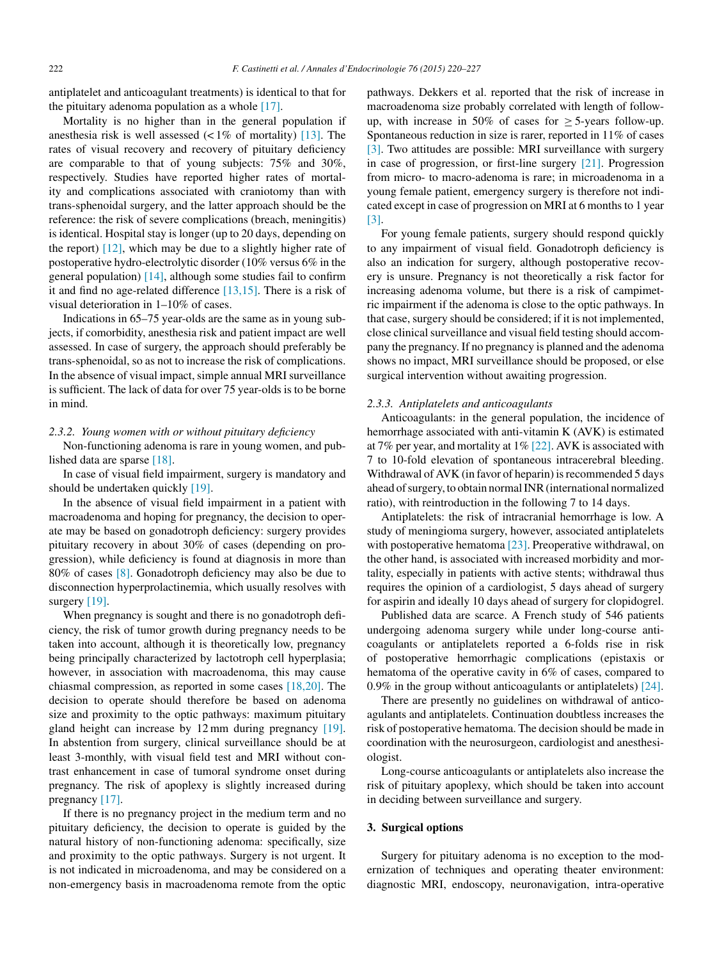antiplatelet and anticoagulant treatments) is identical to that for the pituitary adenoma population as a whole  $[17]$ .

Mortality is no higher than in the general population if anesthesia risk is well assessed  $\left($  < 1% of mortality) [\[13\].](#page-6-0) The rates of visual recovery and recovery of pituitary deficiency are comparable to that of young subjects: 75% and 30%, respectively. Studies have reported higher rates of mortality and complications associated with craniotomy than with trans-sphenoidal surgery, and the latter approach should be the reference: the risk of severe complications (breach, meningitis) is identical. Hospital stay is longer (up to 20 days, depending on the report)  $[12]$ , which may be due to a slightly higher rate of postoperative hydro-electrolytic disorder (10% versus 6% in the general population) [\[14\],](#page-6-0) although some studies fail to confirm it and find no age-related difference [\[13,15\].](#page-6-0) There is a risk of visual deterioration in 1–10% of cases.

Indications in 65–75 year-olds are the same as in young subjects, if comorbidity, anesthesia risk and patient impact are well assessed. In case of surgery, the approach should preferably be trans-sphenoidal, so as not to increase the risk of complications. In the absence of visual impact, simple annual MRI surveillance is sufficient. The lack of data for over 75 year-olds is to be borne in mind.

### *2.3.2. Young women with or without pituitary deficiency*

Non-functioning adenoma is rare in young women, and published data are sparse [\[18\].](#page-6-0)

In case of visual field impairment, surgery is mandatory and should be undertaken quickly [\[19\].](#page-6-0)

In the absence of visual field impairment in a patient with macroadenoma and hoping for pregnancy, the decision to operate may be based on gonadotroph deficiency: surgery provides pituitary recovery in about 30% of cases (depending on progression), while deficiency is found at diagnosis in more than 80% of cases [\[8\].](#page-5-0) Gonadotroph deficiency may also be due to disconnection hyperprolactinemia, which usually resolves with surgery [\[19\].](#page-6-0)

When pregnancy is sought and there is no gonadotroph deficiency, the risk of tumor growth during pregnancy needs to be taken into account, although it is theoretically low, pregnancy being principally characterized by lactotroph cell hyperplasia; however, in association with macroadenoma, this may cause chiasmal compression, as reported in some cases [\[18,20\].](#page-6-0) The decision to operate should therefore be based on adenoma size and proximity to the optic pathways: maximum pituitary gland height can increase by 12 mm during pregnancy [\[19\].](#page-6-0) In abstention from surgery, clinical surveillance should be at least 3-monthly, with visual field test and MRI without contrast enhancement in case of tumoral syndrome onset during pregnancy. The risk of apoplexy is slightly increased during pregnancy [\[17\].](#page-6-0)

If there is no pregnancy project in the medium term and no pituitary deficiency, the decision to operate is guided by the natural history of non-functioning adenoma: specifically, size and proximity to the optic pathways. Surgery is not urgent. It is not indicated in microadenoma, and may be considered on a non-emergency basis in macroadenoma remote from the optic pathways. Dekkers et al. reported that the risk of increase in macroadenoma size probably correlated with length of followup, with increase in 50% of cases for  $>$  5-years follow-up. Spontaneous reduction in size is rarer, reported in 11% of cases [\[3\].](#page-5-0) Two attitudes are possible: MRI surveillance with surgery in case of progression, or first-line surgery [\[21\].](#page-6-0) Progression from micro- to macro-adenoma is rare; in microadenoma in a young female patient, emergency surgery is therefore not indicated except in case of progression on MRI at 6 months to 1 year [\[3\].](#page-5-0)

For young female patients, surgery should respond quickly to any impairment of visual field. Gonadotroph deficiency is also an indication for surgery, although postoperative recovery is unsure. Pregnancy is not theoretically a risk factor for increasing adenoma volume, but there is a risk of campimetric impairment if the adenoma is close to the optic pathways. In that case, surgery should be considered; if it is not implemented, close clinical surveillance and visual field testing should accompany the pregnancy. If no pregnancy is planned and the adenoma shows no impact, MRI surveillance should be proposed, or else surgical intervention without awaiting progression.

### *2.3.3. Antiplatelets and anticoagulants*

Anticoagulants: in the general population, the incidence of hemorrhage associated with anti-vitamin K (AVK) is estimated at 7% per year, and mortality at 1% [\[22\].](#page-6-0) AVK is associated with 7 to 10-fold elevation of spontaneous intracerebral bleeding. Withdrawal of AVK (in favor of heparin) is recommended 5 days ahead of surgery, to obtain normal INR (international normalized ratio), with reintroduction in the following 7 to 14 days.

Antiplatelets: the risk of intracranial hemorrhage is low. A study of meningioma surgery, however, associated antiplatelets with postoperative hematoma [\[23\].](#page-6-0) Preoperative withdrawal, on the other hand, is associated with increased morbidity and mortality, especially in patients with active stents; withdrawal thus requires the opinion of a cardiologist, 5 days ahead of surgery for aspirin and ideally 10 days ahead of surgery for clopidogrel.

Published data are scarce. A French study of 546 patients undergoing adenoma surgery while under long-course anticoagulants or antiplatelets reported a 6-folds rise in risk of postoperative hemorrhagic complications (epistaxis or hematoma of the operative cavity in 6% of cases, compared to 0.9% in the group without anticoagulants or antiplatelets) [\[24\].](#page-6-0)

There are presently no guidelines on withdrawal of anticoagulants and antiplatelets. Continuation doubtless increases the risk of postoperative hematoma. The decision should be made in coordination with the neurosurgeon, cardiologist and anesthesiologist.

Long-course anticoagulants or antiplatelets also increase the risk of pituitary apoplexy, which should be taken into account in deciding between surveillance and surgery.

### **3. Surgical options**

Surgery for pituitary adenoma is no exception to the modernization of techniques and operating theater environment: diagnostic MRI, endoscopy, neuronavigation, intra-operative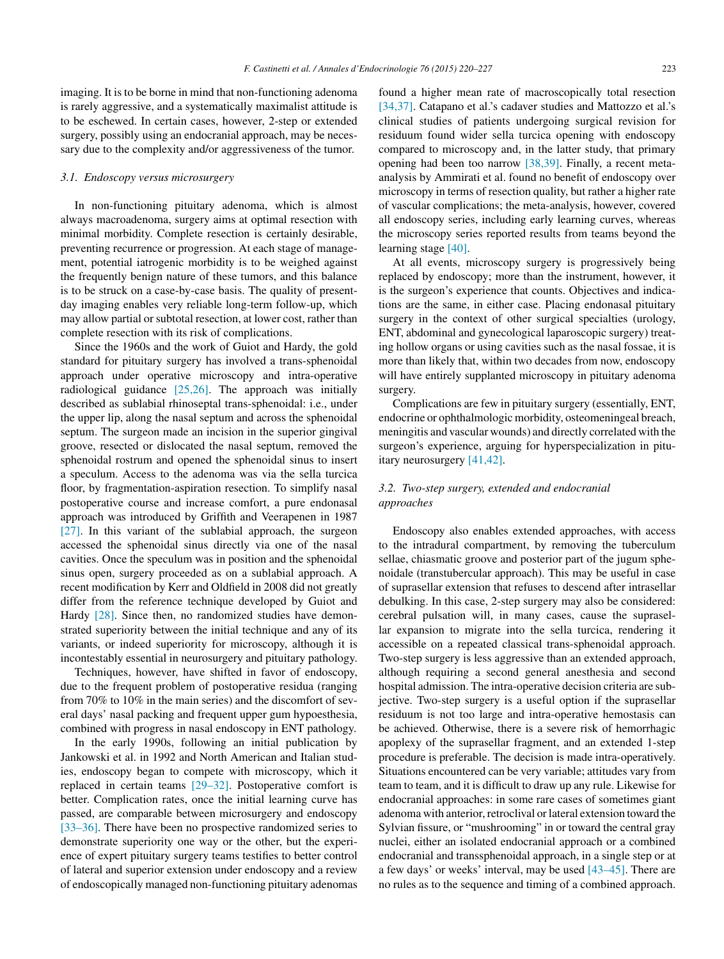imaging. It is to be borne in mind that non-functioning adenoma is rarely aggressive, and a systematically maximalist attitude is to be eschewed. In certain cases, however, 2-step or extended surgery, possibly using an endocranial approach, may be necessary due to the complexity and/or aggressiveness of the tumor.

### *3.1. Endoscopy versus microsurgery*

In non-functioning pituitary adenoma, which is almost always macroadenoma, surgery aims at optimal resection with minimal morbidity. Complete resection is certainly desirable, preventing recurrence or progression. At each stage of management, potential iatrogenic morbidity is to be weighed against the frequently benign nature of these tumors, and this balance is to be struck on a case-by-case basis. The quality of presentday imaging enables very reliable long-term follow-up, which may allow partial or subtotal resection, at lower cost, rather than complete resection with its risk of complications.

Since the 1960s and the work of Guiot and Hardy, the gold standard for pituitary surgery has involved a trans-sphenoidal approach under operative microscopy and intra-operative radiological guidance [\[25,26\].](#page-6-0) The approach was initially described as sublabial rhinoseptal trans-sphenoidal: i.e., under the upper lip, along the nasal septum and across the sphenoidal septum. The surgeon made an incision in the superior gingival groove, resected or dislocated the nasal septum, removed the sphenoidal rostrum and opened the sphenoidal sinus to insert a speculum. Access to the adenoma was via the sella turcica floor, by fragmentation-aspiration resection. To simplify nasal postoperative course and increase comfort, a pure endonasal approach was introduced by Griffith and Veerapenen in 1987 [\[27\].](#page-6-0) In this variant of the sublabial approach, the surgeon accessed the sphenoidal sinus directly via one of the nasal cavities. Once the speculum was in position and the sphenoidal sinus open, surgery proceeded as on a sublabial approach. A recent modification by Kerr and Oldfield in 2008 did not greatly differ from the reference technique developed by Guiot and Hardy [\[28\].](#page-6-0) Since then, no randomized studies have demonstrated superiority between the initial technique and any of its variants, or indeed superiority for microscopy, although it is incontestably essential in neurosurgery and pituitary pathology.

Techniques, however, have shifted in favor of endoscopy, due to the frequent problem of postoperative residua (ranging from 70% to 10% in the main series) and the discomfort of several days' nasal packing and frequent upper gum hypoesthesia, combined with progress in nasal endoscopy in ENT pathology.

In the early 1990s, following an initial publication by Jankowski et al. in 1992 and North American and Italian studies, endoscopy began to compete with microscopy, which it replaced in certain teams [\[29–32\].](#page-6-0) Postoperative comfort is better. Complication rates, once the initial learning curve has passed, are comparable between microsurgery and endoscopy [\[33–36\].](#page-6-0) There have been no prospective randomized series to demonstrate superiority one way or the other, but the experience of expert pituitary surgery teams testifies to better control of lateral and superior extension under endoscopy and a review of endoscopically managed non-functioning pituitary adenomas found a higher mean rate of macroscopically total resection [\[34,37\].](#page-6-0) Catapano et al.'s cadaver studies and Mattozzo et al.'s clinical studies of patients undergoing surgical revision for residuum found wider sella turcica opening with endoscopy compared to microscopy and, in the latter study, that primary opening had been too narrow [\[38,39\].](#page-6-0) Finally, a recent metaanalysis by Ammirati et al. found no benefit of endoscopy over microscopy in terms of resection quality, but rather a higher rate of vascular complications; the meta-analysis, however, covered all endoscopy series, including early learning curves, whereas the microscopy series reported results from teams beyond the learning stage [\[40\].](#page-6-0)

At all events, microscopy surgery is progressively being replaced by endoscopy; more than the instrument, however, it is the surgeon's experience that counts. Objectives and indications are the same, in either case. Placing endonasal pituitary surgery in the context of other surgical specialties (urology, ENT, abdominal and gynecological laparoscopic surgery) treating hollow organs or using cavities such as the nasal fossae, it is more than likely that, within two decades from now, endoscopy will have entirely supplanted microscopy in pituitary adenoma surgery.

Complications are few in pituitary surgery (essentially, ENT, endocrine or ophthalmologic morbidity, osteomeningeal breach, meningitis and vascular wounds) and directly correlated with the surgeon's experience, arguing for hyperspecialization in pituitary neurosurgery [\[41,42\].](#page-6-0)

# *3.2. Two-step surgery, extended and endocranial approaches*

Endoscopy also enables extended approaches, with access to the intradural compartment, by removing the tuberculum sellae, chiasmatic groove and posterior part of the jugum sphenoidale (transtubercular approach). This may be useful in case of suprasellar extension that refuses to descend after intrasellar debulking. In this case, 2-step surgery may also be considered: cerebral pulsation will, in many cases, cause the suprasellar expansion to migrate into the sella turcica, rendering it accessible on a repeated classical trans-sphenoidal approach. Two-step surgery is less aggressive than an extended approach, although requiring a second general anesthesia and second hospital admission. The intra-operative decision criteria are subjective. Two-step surgery is a useful option if the suprasellar residuum is not too large and intra-operative hemostasis can be achieved. Otherwise, there is a severe risk of hemorrhagic apoplexy of the suprasellar fragment, and an extended 1-step procedure is preferable. The decision is made intra-operatively. Situations encountered can be very variable; attitudes vary from team to team, and it is difficult to draw up any rule. Likewise for endocranial approaches: in some rare cases of sometimes giant adenoma with anterior, retroclival or lateral extension toward the Sylvian fissure, or "mushrooming" in or toward the central gray nuclei, either an isolated endocranial approach or a combined endocranial and transsphenoidal approach, in a single step or at a few days' or weeks' interval, may be used [\[43–45\].](#page-6-0) There are no rules as to the sequence and timing of a combined approach.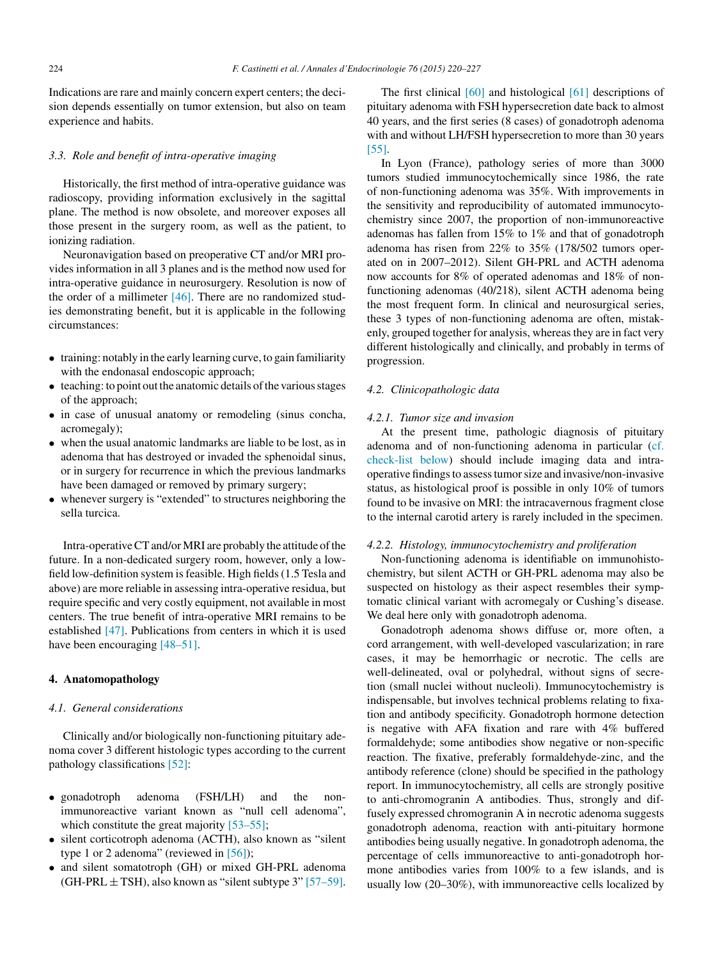Indications are rare and mainly concern expert centers; the decision depends essentially on tumor extension, but also on team experience and habits.

# *3.3. Role and benefit of intra-operative imaging*

Historically, the first method of intra-operative guidance was radioscopy, providing information exclusively in the sagittal plane. The method is now obsolete, and moreover exposes all those present in the surgery room, as well as the patient, to ionizing radiation.

Neuronavigation based on preoperative CT and/or MRI provides information in all 3 planes and is the method now used for intra-operative guidance in neurosurgery. Resolution is now of the order of a millimeter [\[46\].](#page-6-0) There are no randomized studies demonstrating benefit, but it is applicable in the following circumstances:

- training: notably in the early learning curve, to gain familiarity with the endonasal endoscopic approach;
- $\bullet$  teaching: to point out the anatomic details of the various stages of the approach;
- in case of unusual anatomy or remodeling (sinus concha, acromegaly);
- when the usual anatomic landmarks are liable to be lost, as in adenoma that has destroyed or invaded the sphenoidal sinus, or in surgery for recurrence in which the previous landmarks have been damaged or removed by primary surgery;
- whenever surgery is "extended" to structures neighboring the sella turcica.

Intra-operative CT and/or MRI are probably the attitude of the future. In a non-dedicated surgery room, however, only a lowfield low-definition system isfeasible. High fields(1.5 Tesla and above) are more reliable in assessing intra-operative residua, but require specific and very costly equipment, not available in most centers. The true benefit of intra-operative MRI remains to be established [\[47\].](#page-6-0) Publications from centers in which it is used have been encouraging [\[48–51\].](#page-6-0)

### **4. Anatomopathology**

# *4.1. General considerations*

Clinically and/or biologically non-functioning pituitary adenoma cover 3 different histologic types according to the current pathology classifications [\[52\]:](#page-6-0)

- gonadotroph adenoma (FSH/LH) and the nonimmunoreactive variant known as "null cell adenoma", which constitute the great majority [\[53–55\];](#page-6-0)
- silent corticotroph adenoma (ACTH), also known as "silent type 1 or 2 adenoma" (reviewed in  $[56]$ );
- and silent somatotroph (GH) or mixed GH-PRL adenoma  $(GH-PRL \pm TSH)$ , also known as "silent subtype 3" [\[57–59\].](#page-6-0)

The first clinical [\[60\]](#page-7-0) and histological [\[61\]](#page-7-0) descriptions of pituitary adenoma with FSH hypersecretion date back to almost 40 years, and the first series (8 cases) of gonadotroph adenoma with and without LH/FSH hypersecretion to more than 30 years [\[55\].](#page-6-0)

In Lyon (France), pathology series of more than 3000 tumors studied immunocytochemically since 1986, the rate of non-functioning adenoma was 35%. With improvements in the sensitivity and reproducibility of automated immunocytochemistry since 2007, the proportion of non-immunoreactive adenomas has fallen from 15% to 1% and that of gonadotroph adenoma has risen from 22% to 35% (178/502 tumors operated on in 2007–2012). Silent GH-PRL and ACTH adenoma now accounts for 8% of operated adenomas and 18% of nonfunctioning adenomas (40/218), silent ACTH adenoma being the most frequent form. In clinical and neurosurgical series, these 3 types of non-functioning adenoma are often, mistakenly, grouped together for analysis, whereas they are in fact very different histologically and clinically, and probably in terms of progression.

# *4.2. Clinicopathologic data*

### *4.2.1. Tumor size and invasion*

At the present time, pathologic diagnosis of pituitary adenoma and of non-functioning adenoma in particular ([cf.](#page-5-0) [check-list](#page-5-0) [below\)](#page-5-0) should include imaging data and intraoperative findingsto assesstumorsize and invasive/non-invasive status, as histological proof is possible in only 10% of tumors found to be invasive on MRI: the intracavernous fragment close to the internal carotid artery is rarely included in the specimen.

### *4.2.2. Histology, immunocytochemistry and proliferation*

Non-functioning adenoma is identifiable on immunohistochemistry, but silent ACTH or GH-PRL adenoma may also be suspected on histology as their aspect resembles their symptomatic clinical variant with acromegaly or Cushing's disease. We deal here only with gonadotroph adenoma.

Gonadotroph adenoma shows diffuse or, more often, a cord arrangement, with well-developed vascularization; in rare cases, it may be hemorrhagic or necrotic. The cells are well-delineated, oval or polyhedral, without signs of secretion (small nuclei without nucleoli). Immunocytochemistry is indispensable, but involves technical problems relating to fixation and antibody specificity. Gonadotroph hormone detection is negative with AFA fixation and rare with 4% buffered formaldehyde; some antibodies show negative or non-specific reaction. The fixative, preferably formaldehyde-zinc, and the antibody reference (clone) should be specified in the pathology report. In immunocytochemistry, all cells are strongly positive to anti-chromogranin A antibodies. Thus, strongly and diffusely expressed chromogranin A in necrotic adenoma suggests gonadotroph adenoma, reaction with anti-pituitary hormone antibodies being usually negative. In gonadotroph adenoma, the percentage of cells immunoreactive to anti-gonadotroph hormone antibodies varies from 100% to a few islands, and is usually low (20–30%), with immunoreactive cells localized by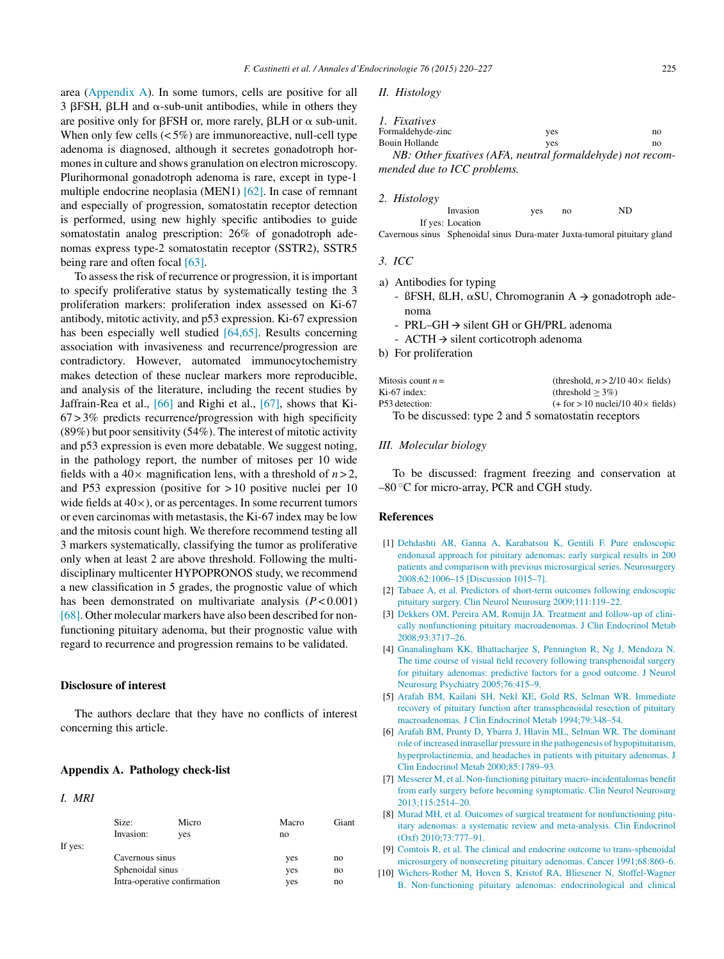<span id="page-5-0"></span>area (Appendix A). In some tumors, cells are positive for all  $3$   $\beta$ FSH,  $\beta$ LH and  $\alpha$ -sub-unit antibodies, while in others they are positive only for  $\beta$ FSH or, more rarely,  $\beta$ LH or  $\alpha$  sub-unit. When only few cells  $(< 5\%)$  are immunoreactive, null-cell type adenoma is diagnosed, although it secretes gonadotroph hormones in culture and shows granulation on electron microscopy. Plurihormonal gonadotroph adenoma is rare, except in type-1 multiple endocrine neoplasia (MEN1) [\[62\].](#page-7-0) In case of remnant and especially of progression, somatostatin receptor detection is performed, using new highly specific antibodies to guide somatostatin analog prescription: 26% of gonadotroph adenomas express type-2 somatostatin receptor (SSTR2), SSTR5 being rare and often focal [\[63\].](#page-7-0)

To assessthe risk of recurrence or progression, it isimportant to specify proliferative status by systematically testing the 3 proliferation markers: proliferation index assessed on Ki-67 antibody, mitotic activity, and p53 expression. Ki-67 expression has been especially well studied [\[64,65\].](#page-7-0) Results concerning association with invasiveness and recurrence/progression are contradictory. However, automated immunocytochemistry makes detection of these nuclear markers more reproducible, and analysis of the literature, including the recent studies by Jaffrain-Rea et al., [\[66\]](#page-7-0) and Righi et al., [\[67\],](#page-7-0) shows that Ki- $67 > 3\%$  predicts recurrence/progression with high specificity  $(89\%)$  but poor sensitivity  $(54\%)$ . The interest of mitotic activity and p53 expression is even more debatable. We suggest noting, in the pathology report, the number of mitoses per 10 wide fields with a  $40 \times$  magnification lens, with a threshold of  $n > 2$ , and P53 expression (positive for > 10 positive nuclei per 10 wide fields at  $40\times$ ), or as percentages. In some recurrent tumors or even carcinomas with metastasis, the Ki-67 index may be low and the mitosis count high. We therefore recommend testing all 3 markers systematically, classifying the tumor as proliferative only when at least 2 are above threshold. Following the multidisciplinary multicenter HYPOPRONOS study, we recommend a new classification in 5 grades, the prognostic value of which has been demonstrated on multivariate analysis  $(P < 0.001)$ [\[68\].](#page-7-0) Other molecular markers have also been described for nonfunctioning pituitary adenoma, but their prognostic value with regard to recurrence and progression remains to be validated.

### **Disclosure of interest**

The authors declare that they have no conflicts of interest concerning this article.

### **Appendix A. Pathology check-list**

### *I. MRI*

|         | Size:                        | Micro | Macro | Giant |
|---------|------------------------------|-------|-------|-------|
|         | Invasion:                    | ves   | no    |       |
| If yes: |                              |       |       |       |
|         | Cavernous sinus              |       | yes   | no    |
|         | Sphenoidal sinus             |       | yes   | no    |
|         | Intra-operative confirmation |       | yes   | no    |

*II. Histology*

| 1. Fixatives                                                    |     |    |
|-----------------------------------------------------------------|-----|----|
| Formaldehyde-zinc                                               | ves | no |
| Bouin Hollande                                                  | ves | no |
| $ND: Othan$ fratives $(AFA$ required formal debude) not measure |     |    |

*NB: Other fixatives (AFA, neutral formaldehyde) not recommended due to ICC problems.*

#### *2. Histology*

| Invasion         | yes | no | ND |
|------------------|-----|----|----|
| If yes: Location |     |    |    |

Cavernous sinus Sphenoidal sinus Dura-mater Juxta-tumoral pituitary gland

### *3. ICC*

- a) Antibodies for typing
	- ßFSH, ßLH,  $\alpha$ SU, Chromogranin A  $\rightarrow$  gonadotroph adenoma
	- PRL–GH  $\rightarrow$  silent GH or GH/PRL adenoma
	- ACTH  $\rightarrow$  silent corticotroph adenoma
- b) For proliferation

| Mitosis count $n =$                                  | (threshold, $n > 2/10$ 40 $\times$ fields)    |  |  |  |
|------------------------------------------------------|-----------------------------------------------|--|--|--|
| $Ki-67$ index:                                       | (threshold $> 3\%$ )                          |  |  |  |
| P53 detection:                                       | $(+$ for $>$ 10 nuclei/10 40 $\times$ fields) |  |  |  |
| To be discussed: type 2 and 5 somatostatin receptors |                                               |  |  |  |

### *III. Molecular biology*

To be discussed: fragment freezing and conservation at  $-80$  °C for micro-array, PCR and CGH study.

# **References**

- [1] [Dehdashti](http://refhub.elsevier.com/S0003-4266(15)00100-6/sbref0345) [AR,](http://refhub.elsevier.com/S0003-4266(15)00100-6/sbref0345) [Ganna](http://refhub.elsevier.com/S0003-4266(15)00100-6/sbref0345) [A,](http://refhub.elsevier.com/S0003-4266(15)00100-6/sbref0345) [Karabatsou](http://refhub.elsevier.com/S0003-4266(15)00100-6/sbref0345) [K,](http://refhub.elsevier.com/S0003-4266(15)00100-6/sbref0345) [Gentili](http://refhub.elsevier.com/S0003-4266(15)00100-6/sbref0345) [F.](http://refhub.elsevier.com/S0003-4266(15)00100-6/sbref0345) [Pure](http://refhub.elsevier.com/S0003-4266(15)00100-6/sbref0345) [endoscopic](http://refhub.elsevier.com/S0003-4266(15)00100-6/sbref0345) [endonasal](http://refhub.elsevier.com/S0003-4266(15)00100-6/sbref0345) [approach](http://refhub.elsevier.com/S0003-4266(15)00100-6/sbref0345) [for](http://refhub.elsevier.com/S0003-4266(15)00100-6/sbref0345) [pituitary](http://refhub.elsevier.com/S0003-4266(15)00100-6/sbref0345) [adenomas:](http://refhub.elsevier.com/S0003-4266(15)00100-6/sbref0345) [early](http://refhub.elsevier.com/S0003-4266(15)00100-6/sbref0345) [surgical](http://refhub.elsevier.com/S0003-4266(15)00100-6/sbref0345) [results](http://refhub.elsevier.com/S0003-4266(15)00100-6/sbref0345) [in](http://refhub.elsevier.com/S0003-4266(15)00100-6/sbref0345) [200](http://refhub.elsevier.com/S0003-4266(15)00100-6/sbref0345) [patients](http://refhub.elsevier.com/S0003-4266(15)00100-6/sbref0345) [and](http://refhub.elsevier.com/S0003-4266(15)00100-6/sbref0345) [comparison](http://refhub.elsevier.com/S0003-4266(15)00100-6/sbref0345) [with](http://refhub.elsevier.com/S0003-4266(15)00100-6/sbref0345) [previous](http://refhub.elsevier.com/S0003-4266(15)00100-6/sbref0345) [microsurgical](http://refhub.elsevier.com/S0003-4266(15)00100-6/sbref0345) [series.](http://refhub.elsevier.com/S0003-4266(15)00100-6/sbref0345) [Neurosurgery](http://refhub.elsevier.com/S0003-4266(15)00100-6/sbref0345) [2008;62:1006](http://refhub.elsevier.com/S0003-4266(15)00100-6/sbref0345)–[15](http://refhub.elsevier.com/S0003-4266(15)00100-6/sbref0345) [\[Discussion](http://refhub.elsevier.com/S0003-4266(15)00100-6/sbref0345) [1015](http://refhub.elsevier.com/S0003-4266(15)00100-6/sbref0345)–[7\].](http://refhub.elsevier.com/S0003-4266(15)00100-6/sbref0345)
- [2] [Tabaee](http://refhub.elsevier.com/S0003-4266(15)00100-6/sbref0350) [A,](http://refhub.elsevier.com/S0003-4266(15)00100-6/sbref0350) [et](http://refhub.elsevier.com/S0003-4266(15)00100-6/sbref0350) [al.](http://refhub.elsevier.com/S0003-4266(15)00100-6/sbref0350) [Predictors](http://refhub.elsevier.com/S0003-4266(15)00100-6/sbref0350) [of](http://refhub.elsevier.com/S0003-4266(15)00100-6/sbref0350) [short-term](http://refhub.elsevier.com/S0003-4266(15)00100-6/sbref0350) [outcomes](http://refhub.elsevier.com/S0003-4266(15)00100-6/sbref0350) [following](http://refhub.elsevier.com/S0003-4266(15)00100-6/sbref0350) [endoscopic](http://refhub.elsevier.com/S0003-4266(15)00100-6/sbref0350) [pituitary](http://refhub.elsevier.com/S0003-4266(15)00100-6/sbref0350) [surgery.](http://refhub.elsevier.com/S0003-4266(15)00100-6/sbref0350) [Clin](http://refhub.elsevier.com/S0003-4266(15)00100-6/sbref0350) [Neurol](http://refhub.elsevier.com/S0003-4266(15)00100-6/sbref0350) [Neurosurg](http://refhub.elsevier.com/S0003-4266(15)00100-6/sbref0350) [2009;111:119–22.](http://refhub.elsevier.com/S0003-4266(15)00100-6/sbref0350)
- [3] [Dekkers](http://refhub.elsevier.com/S0003-4266(15)00100-6/sbref0355) [OM,](http://refhub.elsevier.com/S0003-4266(15)00100-6/sbref0355) [Pereira](http://refhub.elsevier.com/S0003-4266(15)00100-6/sbref0355) [AM,](http://refhub.elsevier.com/S0003-4266(15)00100-6/sbref0355) [Romijn](http://refhub.elsevier.com/S0003-4266(15)00100-6/sbref0355) [JA.](http://refhub.elsevier.com/S0003-4266(15)00100-6/sbref0355) [Treatment](http://refhub.elsevier.com/S0003-4266(15)00100-6/sbref0355) [and](http://refhub.elsevier.com/S0003-4266(15)00100-6/sbref0355) [follow-up](http://refhub.elsevier.com/S0003-4266(15)00100-6/sbref0355) [of](http://refhub.elsevier.com/S0003-4266(15)00100-6/sbref0355) [clini](http://refhub.elsevier.com/S0003-4266(15)00100-6/sbref0355)[cally](http://refhub.elsevier.com/S0003-4266(15)00100-6/sbref0355) [nonfunctioning](http://refhub.elsevier.com/S0003-4266(15)00100-6/sbref0355) [pituitary](http://refhub.elsevier.com/S0003-4266(15)00100-6/sbref0355) [macroadenomas.](http://refhub.elsevier.com/S0003-4266(15)00100-6/sbref0355) [J](http://refhub.elsevier.com/S0003-4266(15)00100-6/sbref0355) [Clin](http://refhub.elsevier.com/S0003-4266(15)00100-6/sbref0355) [Endocrinol](http://refhub.elsevier.com/S0003-4266(15)00100-6/sbref0355) [Metab](http://refhub.elsevier.com/S0003-4266(15)00100-6/sbref0355) [2008;93:3717–26.](http://refhub.elsevier.com/S0003-4266(15)00100-6/sbref0355)
- [4] [Gnanalingham](http://refhub.elsevier.com/S0003-4266(15)00100-6/sbref0360) [KK,](http://refhub.elsevier.com/S0003-4266(15)00100-6/sbref0360) [Bhattacharjee](http://refhub.elsevier.com/S0003-4266(15)00100-6/sbref0360) [S,](http://refhub.elsevier.com/S0003-4266(15)00100-6/sbref0360) [Pennington](http://refhub.elsevier.com/S0003-4266(15)00100-6/sbref0360) [R,](http://refhub.elsevier.com/S0003-4266(15)00100-6/sbref0360) [Ng](http://refhub.elsevier.com/S0003-4266(15)00100-6/sbref0360) [J,](http://refhub.elsevier.com/S0003-4266(15)00100-6/sbref0360) [Mendoza](http://refhub.elsevier.com/S0003-4266(15)00100-6/sbref0360) [N.](http://refhub.elsevier.com/S0003-4266(15)00100-6/sbref0360) [The](http://refhub.elsevier.com/S0003-4266(15)00100-6/sbref0360) [time](http://refhub.elsevier.com/S0003-4266(15)00100-6/sbref0360) [course](http://refhub.elsevier.com/S0003-4266(15)00100-6/sbref0360) [of](http://refhub.elsevier.com/S0003-4266(15)00100-6/sbref0360) [visual](http://refhub.elsevier.com/S0003-4266(15)00100-6/sbref0360) [field](http://refhub.elsevier.com/S0003-4266(15)00100-6/sbref0360) [recovery](http://refhub.elsevier.com/S0003-4266(15)00100-6/sbref0360) [following](http://refhub.elsevier.com/S0003-4266(15)00100-6/sbref0360) [transphenoidal](http://refhub.elsevier.com/S0003-4266(15)00100-6/sbref0360) [surgery](http://refhub.elsevier.com/S0003-4266(15)00100-6/sbref0360) [for](http://refhub.elsevier.com/S0003-4266(15)00100-6/sbref0360) [pituitary](http://refhub.elsevier.com/S0003-4266(15)00100-6/sbref0360) [adenomas:](http://refhub.elsevier.com/S0003-4266(15)00100-6/sbref0360) [predictive](http://refhub.elsevier.com/S0003-4266(15)00100-6/sbref0360) [factors](http://refhub.elsevier.com/S0003-4266(15)00100-6/sbref0360) [for](http://refhub.elsevier.com/S0003-4266(15)00100-6/sbref0360) [a](http://refhub.elsevier.com/S0003-4266(15)00100-6/sbref0360) [good](http://refhub.elsevier.com/S0003-4266(15)00100-6/sbref0360) [outcome.](http://refhub.elsevier.com/S0003-4266(15)00100-6/sbref0360) [J](http://refhub.elsevier.com/S0003-4266(15)00100-6/sbref0360) [Neurol](http://refhub.elsevier.com/S0003-4266(15)00100-6/sbref0360) [Neurosurg](http://refhub.elsevier.com/S0003-4266(15)00100-6/sbref0360) [Psychiatry](http://refhub.elsevier.com/S0003-4266(15)00100-6/sbref0360) [2005;76:415–9.](http://refhub.elsevier.com/S0003-4266(15)00100-6/sbref0360)
- [5] [Arafah](http://refhub.elsevier.com/S0003-4266(15)00100-6/sbref0365) [BM,](http://refhub.elsevier.com/S0003-4266(15)00100-6/sbref0365) [Kailani](http://refhub.elsevier.com/S0003-4266(15)00100-6/sbref0365) [SH,](http://refhub.elsevier.com/S0003-4266(15)00100-6/sbref0365) [Nekl](http://refhub.elsevier.com/S0003-4266(15)00100-6/sbref0365) [KE,](http://refhub.elsevier.com/S0003-4266(15)00100-6/sbref0365) [Gold](http://refhub.elsevier.com/S0003-4266(15)00100-6/sbref0365) [RS,](http://refhub.elsevier.com/S0003-4266(15)00100-6/sbref0365) [Selman](http://refhub.elsevier.com/S0003-4266(15)00100-6/sbref0365) [WR.](http://refhub.elsevier.com/S0003-4266(15)00100-6/sbref0365) [Immediate](http://refhub.elsevier.com/S0003-4266(15)00100-6/sbref0365) [recovery](http://refhub.elsevier.com/S0003-4266(15)00100-6/sbref0365) [of](http://refhub.elsevier.com/S0003-4266(15)00100-6/sbref0365) [pituitary](http://refhub.elsevier.com/S0003-4266(15)00100-6/sbref0365) [function](http://refhub.elsevier.com/S0003-4266(15)00100-6/sbref0365) [after](http://refhub.elsevier.com/S0003-4266(15)00100-6/sbref0365) [transsphenoidal](http://refhub.elsevier.com/S0003-4266(15)00100-6/sbref0365) [resection](http://refhub.elsevier.com/S0003-4266(15)00100-6/sbref0365) [of](http://refhub.elsevier.com/S0003-4266(15)00100-6/sbref0365) [pituitary](http://refhub.elsevier.com/S0003-4266(15)00100-6/sbref0365) [macroadenomas.](http://refhub.elsevier.com/S0003-4266(15)00100-6/sbref0365) [J](http://refhub.elsevier.com/S0003-4266(15)00100-6/sbref0365) [Clin](http://refhub.elsevier.com/S0003-4266(15)00100-6/sbref0365) [Endocrinol](http://refhub.elsevier.com/S0003-4266(15)00100-6/sbref0365) [Metab](http://refhub.elsevier.com/S0003-4266(15)00100-6/sbref0365) [1994;79:348](http://refhub.elsevier.com/S0003-4266(15)00100-6/sbref0365)–[54.](http://refhub.elsevier.com/S0003-4266(15)00100-6/sbref0365)
- [6] [Arafah](http://refhub.elsevier.com/S0003-4266(15)00100-6/sbref0370) [BM,](http://refhub.elsevier.com/S0003-4266(15)00100-6/sbref0370) [Prunty](http://refhub.elsevier.com/S0003-4266(15)00100-6/sbref0370) [D,](http://refhub.elsevier.com/S0003-4266(15)00100-6/sbref0370) [Ybarra](http://refhub.elsevier.com/S0003-4266(15)00100-6/sbref0370) [J,](http://refhub.elsevier.com/S0003-4266(15)00100-6/sbref0370) [Hlavin](http://refhub.elsevier.com/S0003-4266(15)00100-6/sbref0370) [ML,](http://refhub.elsevier.com/S0003-4266(15)00100-6/sbref0370) [Selman](http://refhub.elsevier.com/S0003-4266(15)00100-6/sbref0370) [WR.](http://refhub.elsevier.com/S0003-4266(15)00100-6/sbref0370) [The](http://refhub.elsevier.com/S0003-4266(15)00100-6/sbref0370) [dominant](http://refhub.elsevier.com/S0003-4266(15)00100-6/sbref0370) [role](http://refhub.elsevier.com/S0003-4266(15)00100-6/sbref0370) of increased [intrasellar](http://refhub.elsevier.com/S0003-4266(15)00100-6/sbref0370) [pressure](http://refhub.elsevier.com/S0003-4266(15)00100-6/sbref0370) [in](http://refhub.elsevier.com/S0003-4266(15)00100-6/sbref0370) [the](http://refhub.elsevier.com/S0003-4266(15)00100-6/sbref0370) [pathogenesis](http://refhub.elsevier.com/S0003-4266(15)00100-6/sbref0370) [of](http://refhub.elsevier.com/S0003-4266(15)00100-6/sbref0370) [hypopituitarism,](http://refhub.elsevier.com/S0003-4266(15)00100-6/sbref0370) [hyperprolactinemia,](http://refhub.elsevier.com/S0003-4266(15)00100-6/sbref0370) [and](http://refhub.elsevier.com/S0003-4266(15)00100-6/sbref0370) [headaches](http://refhub.elsevier.com/S0003-4266(15)00100-6/sbref0370) [in](http://refhub.elsevier.com/S0003-4266(15)00100-6/sbref0370) [patients](http://refhub.elsevier.com/S0003-4266(15)00100-6/sbref0370) [with](http://refhub.elsevier.com/S0003-4266(15)00100-6/sbref0370) [pituitary](http://refhub.elsevier.com/S0003-4266(15)00100-6/sbref0370) [adenomas.](http://refhub.elsevier.com/S0003-4266(15)00100-6/sbref0370) [J](http://refhub.elsevier.com/S0003-4266(15)00100-6/sbref0370) [Clin](http://refhub.elsevier.com/S0003-4266(15)00100-6/sbref0370) [Endocrinol](http://refhub.elsevier.com/S0003-4266(15)00100-6/sbref0370) [Metab](http://refhub.elsevier.com/S0003-4266(15)00100-6/sbref0370) [2000;85:1789](http://refhub.elsevier.com/S0003-4266(15)00100-6/sbref0370)–[93.](http://refhub.elsevier.com/S0003-4266(15)00100-6/sbref0370)
- [7] [Messerer](http://refhub.elsevier.com/S0003-4266(15)00100-6/sbref0375) [M,](http://refhub.elsevier.com/S0003-4266(15)00100-6/sbref0375) [et](http://refhub.elsevier.com/S0003-4266(15)00100-6/sbref0375) [al.](http://refhub.elsevier.com/S0003-4266(15)00100-6/sbref0375) [Non-functioning](http://refhub.elsevier.com/S0003-4266(15)00100-6/sbref0375) [pituitary](http://refhub.elsevier.com/S0003-4266(15)00100-6/sbref0375) [macro-incidentalomas](http://refhub.elsevier.com/S0003-4266(15)00100-6/sbref0375) [benefit](http://refhub.elsevier.com/S0003-4266(15)00100-6/sbref0375) [from](http://refhub.elsevier.com/S0003-4266(15)00100-6/sbref0375) [early](http://refhub.elsevier.com/S0003-4266(15)00100-6/sbref0375) [surgery](http://refhub.elsevier.com/S0003-4266(15)00100-6/sbref0375) [before](http://refhub.elsevier.com/S0003-4266(15)00100-6/sbref0375) [becoming](http://refhub.elsevier.com/S0003-4266(15)00100-6/sbref0375) [symptomatic.](http://refhub.elsevier.com/S0003-4266(15)00100-6/sbref0375) [Clin](http://refhub.elsevier.com/S0003-4266(15)00100-6/sbref0375) [Neurol](http://refhub.elsevier.com/S0003-4266(15)00100-6/sbref0375) [Neurosurg](http://refhub.elsevier.com/S0003-4266(15)00100-6/sbref0375) [2013;115:2514–20.](http://refhub.elsevier.com/S0003-4266(15)00100-6/sbref0375)
- [8] [Murad](http://refhub.elsevier.com/S0003-4266(15)00100-6/sbref0380) [MH,](http://refhub.elsevier.com/S0003-4266(15)00100-6/sbref0380) [et](http://refhub.elsevier.com/S0003-4266(15)00100-6/sbref0380) [al.](http://refhub.elsevier.com/S0003-4266(15)00100-6/sbref0380) [Outcomes](http://refhub.elsevier.com/S0003-4266(15)00100-6/sbref0380) [of](http://refhub.elsevier.com/S0003-4266(15)00100-6/sbref0380) [surgical](http://refhub.elsevier.com/S0003-4266(15)00100-6/sbref0380) [treatment](http://refhub.elsevier.com/S0003-4266(15)00100-6/sbref0380) [for](http://refhub.elsevier.com/S0003-4266(15)00100-6/sbref0380) [nonfunctioning](http://refhub.elsevier.com/S0003-4266(15)00100-6/sbref0380) [pitu](http://refhub.elsevier.com/S0003-4266(15)00100-6/sbref0380)[itary](http://refhub.elsevier.com/S0003-4266(15)00100-6/sbref0380) [adenomas:](http://refhub.elsevier.com/S0003-4266(15)00100-6/sbref0380) [a](http://refhub.elsevier.com/S0003-4266(15)00100-6/sbref0380) [systematic](http://refhub.elsevier.com/S0003-4266(15)00100-6/sbref0380) [review](http://refhub.elsevier.com/S0003-4266(15)00100-6/sbref0380) [and](http://refhub.elsevier.com/S0003-4266(15)00100-6/sbref0380) [meta-analysis.](http://refhub.elsevier.com/S0003-4266(15)00100-6/sbref0380) [Clin](http://refhub.elsevier.com/S0003-4266(15)00100-6/sbref0380) [Endocrinol](http://refhub.elsevier.com/S0003-4266(15)00100-6/sbref0380) [\(Oxf\)](http://refhub.elsevier.com/S0003-4266(15)00100-6/sbref0380) [2010;73:777](http://refhub.elsevier.com/S0003-4266(15)00100-6/sbref0380)–[91.](http://refhub.elsevier.com/S0003-4266(15)00100-6/sbref0380)
- [9] [Comtois](http://refhub.elsevier.com/S0003-4266(15)00100-6/sbref0385) [R,](http://refhub.elsevier.com/S0003-4266(15)00100-6/sbref0385) [et](http://refhub.elsevier.com/S0003-4266(15)00100-6/sbref0385) [al.](http://refhub.elsevier.com/S0003-4266(15)00100-6/sbref0385) [The](http://refhub.elsevier.com/S0003-4266(15)00100-6/sbref0385) [clinical](http://refhub.elsevier.com/S0003-4266(15)00100-6/sbref0385) [and](http://refhub.elsevier.com/S0003-4266(15)00100-6/sbref0385) [endocrine](http://refhub.elsevier.com/S0003-4266(15)00100-6/sbref0385) [outcome](http://refhub.elsevier.com/S0003-4266(15)00100-6/sbref0385) [to](http://refhub.elsevier.com/S0003-4266(15)00100-6/sbref0385) [trans-sphenoidal](http://refhub.elsevier.com/S0003-4266(15)00100-6/sbref0385) [microsurgery](http://refhub.elsevier.com/S0003-4266(15)00100-6/sbref0385) [of](http://refhub.elsevier.com/S0003-4266(15)00100-6/sbref0385) [nonsecreting](http://refhub.elsevier.com/S0003-4266(15)00100-6/sbref0385) [pituitary](http://refhub.elsevier.com/S0003-4266(15)00100-6/sbref0385) [adenomas.](http://refhub.elsevier.com/S0003-4266(15)00100-6/sbref0385) [Cancer](http://refhub.elsevier.com/S0003-4266(15)00100-6/sbref0385) [1991;68:860–6.](http://refhub.elsevier.com/S0003-4266(15)00100-6/sbref0385)
- [10] [Wichers-Rother](http://refhub.elsevier.com/S0003-4266(15)00100-6/sbref0390) [M,](http://refhub.elsevier.com/S0003-4266(15)00100-6/sbref0390) [Hoven](http://refhub.elsevier.com/S0003-4266(15)00100-6/sbref0390) [S,](http://refhub.elsevier.com/S0003-4266(15)00100-6/sbref0390) [Kristof](http://refhub.elsevier.com/S0003-4266(15)00100-6/sbref0390) [RA,](http://refhub.elsevier.com/S0003-4266(15)00100-6/sbref0390) [Bliesener](http://refhub.elsevier.com/S0003-4266(15)00100-6/sbref0390) [N,](http://refhub.elsevier.com/S0003-4266(15)00100-6/sbref0390) [Stoffel-Wagner](http://refhub.elsevier.com/S0003-4266(15)00100-6/sbref0390) [B.](http://refhub.elsevier.com/S0003-4266(15)00100-6/sbref0390) [Non-functioning](http://refhub.elsevier.com/S0003-4266(15)00100-6/sbref0390) [pituitary](http://refhub.elsevier.com/S0003-4266(15)00100-6/sbref0390) [adenomas:](http://refhub.elsevier.com/S0003-4266(15)00100-6/sbref0390) [endocrinological](http://refhub.elsevier.com/S0003-4266(15)00100-6/sbref0390) [and](http://refhub.elsevier.com/S0003-4266(15)00100-6/sbref0390) [clinical](http://refhub.elsevier.com/S0003-4266(15)00100-6/sbref0390)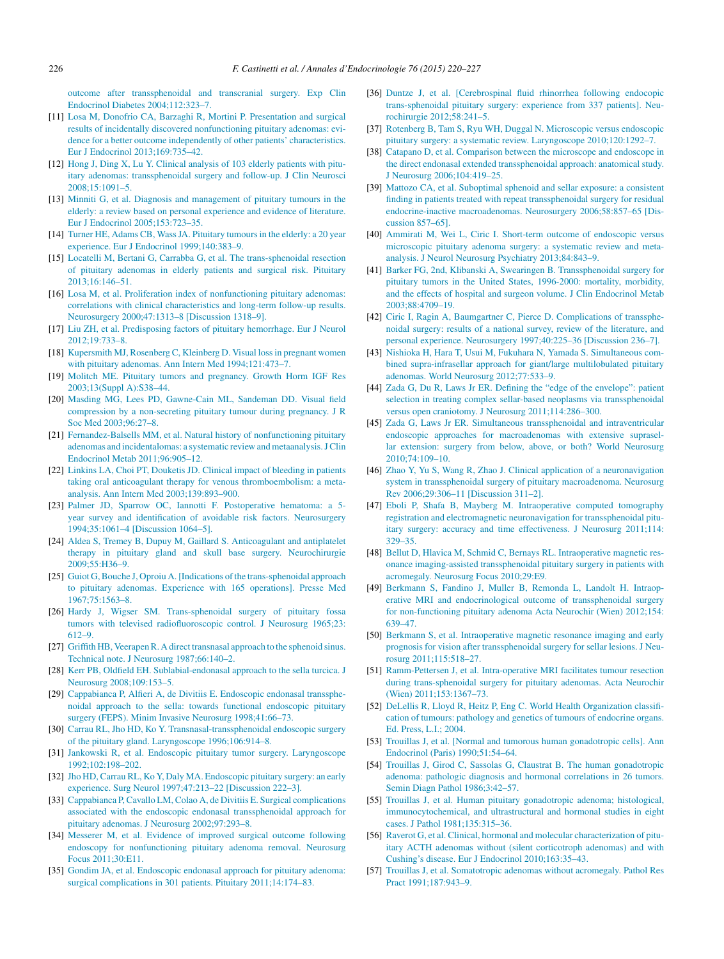<span id="page-6-0"></span>[outcome](http://refhub.elsevier.com/S0003-4266(15)00100-6/sbref0390) [after](http://refhub.elsevier.com/S0003-4266(15)00100-6/sbref0390) [transsphenoidal](http://refhub.elsevier.com/S0003-4266(15)00100-6/sbref0390) [and](http://refhub.elsevier.com/S0003-4266(15)00100-6/sbref0390) [transcranial](http://refhub.elsevier.com/S0003-4266(15)00100-6/sbref0390) [surgery.](http://refhub.elsevier.com/S0003-4266(15)00100-6/sbref0390) [Exp](http://refhub.elsevier.com/S0003-4266(15)00100-6/sbref0390) [Clin](http://refhub.elsevier.com/S0003-4266(15)00100-6/sbref0390) [Endocrinol](http://refhub.elsevier.com/S0003-4266(15)00100-6/sbref0390) [Diabetes](http://refhub.elsevier.com/S0003-4266(15)00100-6/sbref0390) [2004;112:323](http://refhub.elsevier.com/S0003-4266(15)00100-6/sbref0390)–[7.](http://refhub.elsevier.com/S0003-4266(15)00100-6/sbref0390)

- [11] [Losa](http://refhub.elsevier.com/S0003-4266(15)00100-6/sbref0395) [M,](http://refhub.elsevier.com/S0003-4266(15)00100-6/sbref0395) [Donofrio](http://refhub.elsevier.com/S0003-4266(15)00100-6/sbref0395) [CA,](http://refhub.elsevier.com/S0003-4266(15)00100-6/sbref0395) [Barzaghi](http://refhub.elsevier.com/S0003-4266(15)00100-6/sbref0395) [R,](http://refhub.elsevier.com/S0003-4266(15)00100-6/sbref0395) [Mortini](http://refhub.elsevier.com/S0003-4266(15)00100-6/sbref0395) [P.](http://refhub.elsevier.com/S0003-4266(15)00100-6/sbref0395) [Presentation](http://refhub.elsevier.com/S0003-4266(15)00100-6/sbref0395) [and](http://refhub.elsevier.com/S0003-4266(15)00100-6/sbref0395) [surgical](http://refhub.elsevier.com/S0003-4266(15)00100-6/sbref0395) [results](http://refhub.elsevier.com/S0003-4266(15)00100-6/sbref0395) [of](http://refhub.elsevier.com/S0003-4266(15)00100-6/sbref0395) [incidentally](http://refhub.elsevier.com/S0003-4266(15)00100-6/sbref0395) [discovered](http://refhub.elsevier.com/S0003-4266(15)00100-6/sbref0395) [nonfunctioning](http://refhub.elsevier.com/S0003-4266(15)00100-6/sbref0395) [pituitary](http://refhub.elsevier.com/S0003-4266(15)00100-6/sbref0395) [adenomas:](http://refhub.elsevier.com/S0003-4266(15)00100-6/sbref0395) [evi](http://refhub.elsevier.com/S0003-4266(15)00100-6/sbref0395)[dence](http://refhub.elsevier.com/S0003-4266(15)00100-6/sbref0395) [for](http://refhub.elsevier.com/S0003-4266(15)00100-6/sbref0395) [a](http://refhub.elsevier.com/S0003-4266(15)00100-6/sbref0395) [better](http://refhub.elsevier.com/S0003-4266(15)00100-6/sbref0395) [outcome](http://refhub.elsevier.com/S0003-4266(15)00100-6/sbref0395) [independently](http://refhub.elsevier.com/S0003-4266(15)00100-6/sbref0395) [of](http://refhub.elsevier.com/S0003-4266(15)00100-6/sbref0395) [other](http://refhub.elsevier.com/S0003-4266(15)00100-6/sbref0395) [patients'](http://refhub.elsevier.com/S0003-4266(15)00100-6/sbref0395) [characteristics.](http://refhub.elsevier.com/S0003-4266(15)00100-6/sbref0395) [Eur](http://refhub.elsevier.com/S0003-4266(15)00100-6/sbref0395) [J](http://refhub.elsevier.com/S0003-4266(15)00100-6/sbref0395) [Endocrinol](http://refhub.elsevier.com/S0003-4266(15)00100-6/sbref0395) [2013;169:735–42.](http://refhub.elsevier.com/S0003-4266(15)00100-6/sbref0395)
- [12] [Hong](http://refhub.elsevier.com/S0003-4266(15)00100-6/sbref0400) [J,](http://refhub.elsevier.com/S0003-4266(15)00100-6/sbref0400) [Ding](http://refhub.elsevier.com/S0003-4266(15)00100-6/sbref0400) [X,](http://refhub.elsevier.com/S0003-4266(15)00100-6/sbref0400) [Lu](http://refhub.elsevier.com/S0003-4266(15)00100-6/sbref0400) [Y.](http://refhub.elsevier.com/S0003-4266(15)00100-6/sbref0400) [Clinical](http://refhub.elsevier.com/S0003-4266(15)00100-6/sbref0400) [analysis](http://refhub.elsevier.com/S0003-4266(15)00100-6/sbref0400) [of](http://refhub.elsevier.com/S0003-4266(15)00100-6/sbref0400) [103](http://refhub.elsevier.com/S0003-4266(15)00100-6/sbref0400) [elderly](http://refhub.elsevier.com/S0003-4266(15)00100-6/sbref0400) [patients](http://refhub.elsevier.com/S0003-4266(15)00100-6/sbref0400) [with](http://refhub.elsevier.com/S0003-4266(15)00100-6/sbref0400) [pitu](http://refhub.elsevier.com/S0003-4266(15)00100-6/sbref0400)[itary](http://refhub.elsevier.com/S0003-4266(15)00100-6/sbref0400) [adenomas:](http://refhub.elsevier.com/S0003-4266(15)00100-6/sbref0400) [transsphenoidal](http://refhub.elsevier.com/S0003-4266(15)00100-6/sbref0400) [surgery](http://refhub.elsevier.com/S0003-4266(15)00100-6/sbref0400) [and](http://refhub.elsevier.com/S0003-4266(15)00100-6/sbref0400) [follow-up.](http://refhub.elsevier.com/S0003-4266(15)00100-6/sbref0400) [J](http://refhub.elsevier.com/S0003-4266(15)00100-6/sbref0400) [Clin](http://refhub.elsevier.com/S0003-4266(15)00100-6/sbref0400) [Neurosci](http://refhub.elsevier.com/S0003-4266(15)00100-6/sbref0400) [2008;15:1091–5.](http://refhub.elsevier.com/S0003-4266(15)00100-6/sbref0400)
- [13] [Minniti](http://refhub.elsevier.com/S0003-4266(15)00100-6/sbref0405) [G,](http://refhub.elsevier.com/S0003-4266(15)00100-6/sbref0405) [et](http://refhub.elsevier.com/S0003-4266(15)00100-6/sbref0405) [al.](http://refhub.elsevier.com/S0003-4266(15)00100-6/sbref0405) [Diagnosis](http://refhub.elsevier.com/S0003-4266(15)00100-6/sbref0405) [and](http://refhub.elsevier.com/S0003-4266(15)00100-6/sbref0405) [management](http://refhub.elsevier.com/S0003-4266(15)00100-6/sbref0405) [of](http://refhub.elsevier.com/S0003-4266(15)00100-6/sbref0405) [pituitary](http://refhub.elsevier.com/S0003-4266(15)00100-6/sbref0405) [tumours](http://refhub.elsevier.com/S0003-4266(15)00100-6/sbref0405) [in](http://refhub.elsevier.com/S0003-4266(15)00100-6/sbref0405) [the](http://refhub.elsevier.com/S0003-4266(15)00100-6/sbref0405) [elderly:](http://refhub.elsevier.com/S0003-4266(15)00100-6/sbref0405) [a](http://refhub.elsevier.com/S0003-4266(15)00100-6/sbref0405) [review](http://refhub.elsevier.com/S0003-4266(15)00100-6/sbref0405) [based](http://refhub.elsevier.com/S0003-4266(15)00100-6/sbref0405) [on](http://refhub.elsevier.com/S0003-4266(15)00100-6/sbref0405) [personal](http://refhub.elsevier.com/S0003-4266(15)00100-6/sbref0405) [experience](http://refhub.elsevier.com/S0003-4266(15)00100-6/sbref0405) [and](http://refhub.elsevier.com/S0003-4266(15)00100-6/sbref0405) [evidence](http://refhub.elsevier.com/S0003-4266(15)00100-6/sbref0405) [of](http://refhub.elsevier.com/S0003-4266(15)00100-6/sbref0405) [literature.](http://refhub.elsevier.com/S0003-4266(15)00100-6/sbref0405) [Eur](http://refhub.elsevier.com/S0003-4266(15)00100-6/sbref0405) [J](http://refhub.elsevier.com/S0003-4266(15)00100-6/sbref0405) [Endocrinol](http://refhub.elsevier.com/S0003-4266(15)00100-6/sbref0405) [2005;153:723](http://refhub.elsevier.com/S0003-4266(15)00100-6/sbref0405)–[35.](http://refhub.elsevier.com/S0003-4266(15)00100-6/sbref0405)
- [14] [Turner](http://refhub.elsevier.com/S0003-4266(15)00100-6/sbref0410) [HE,](http://refhub.elsevier.com/S0003-4266(15)00100-6/sbref0410) [Adams](http://refhub.elsevier.com/S0003-4266(15)00100-6/sbref0410) [CB,](http://refhub.elsevier.com/S0003-4266(15)00100-6/sbref0410) Wass JA. [Pituitary](http://refhub.elsevier.com/S0003-4266(15)00100-6/sbref0410) tumours in [the](http://refhub.elsevier.com/S0003-4266(15)00100-6/sbref0410) [elderly:](http://refhub.elsevier.com/S0003-4266(15)00100-6/sbref0410) [a](http://refhub.elsevier.com/S0003-4266(15)00100-6/sbref0410) [20](http://refhub.elsevier.com/S0003-4266(15)00100-6/sbref0410) [year](http://refhub.elsevier.com/S0003-4266(15)00100-6/sbref0410) [experience.](http://refhub.elsevier.com/S0003-4266(15)00100-6/sbref0410) [Eur](http://refhub.elsevier.com/S0003-4266(15)00100-6/sbref0410) [J](http://refhub.elsevier.com/S0003-4266(15)00100-6/sbref0410) [Endocrinol](http://refhub.elsevier.com/S0003-4266(15)00100-6/sbref0410) [1999;140:383](http://refhub.elsevier.com/S0003-4266(15)00100-6/sbref0410)–[9.](http://refhub.elsevier.com/S0003-4266(15)00100-6/sbref0410)
- [15] [Locatelli](http://refhub.elsevier.com/S0003-4266(15)00100-6/sbref0415) [M,](http://refhub.elsevier.com/S0003-4266(15)00100-6/sbref0415) [Bertani](http://refhub.elsevier.com/S0003-4266(15)00100-6/sbref0415) [G,](http://refhub.elsevier.com/S0003-4266(15)00100-6/sbref0415) [Carrabba](http://refhub.elsevier.com/S0003-4266(15)00100-6/sbref0415) G, [et](http://refhub.elsevier.com/S0003-4266(15)00100-6/sbref0415) [al.](http://refhub.elsevier.com/S0003-4266(15)00100-6/sbref0415) [The](http://refhub.elsevier.com/S0003-4266(15)00100-6/sbref0415) [trans-sphenoidal](http://refhub.elsevier.com/S0003-4266(15)00100-6/sbref0415) [resection](http://refhub.elsevier.com/S0003-4266(15)00100-6/sbref0415) [of](http://refhub.elsevier.com/S0003-4266(15)00100-6/sbref0415) [pituitary](http://refhub.elsevier.com/S0003-4266(15)00100-6/sbref0415) [adenomas](http://refhub.elsevier.com/S0003-4266(15)00100-6/sbref0415) [in](http://refhub.elsevier.com/S0003-4266(15)00100-6/sbref0415) [elderly](http://refhub.elsevier.com/S0003-4266(15)00100-6/sbref0415) [patients](http://refhub.elsevier.com/S0003-4266(15)00100-6/sbref0415) [and](http://refhub.elsevier.com/S0003-4266(15)00100-6/sbref0415) [surgical](http://refhub.elsevier.com/S0003-4266(15)00100-6/sbref0415) [risk.](http://refhub.elsevier.com/S0003-4266(15)00100-6/sbref0415) [Pituitary](http://refhub.elsevier.com/S0003-4266(15)00100-6/sbref0415) [2013;16:146–51.](http://refhub.elsevier.com/S0003-4266(15)00100-6/sbref0415)
- [16] [Losa](http://refhub.elsevier.com/S0003-4266(15)00100-6/sbref0420) [M,](http://refhub.elsevier.com/S0003-4266(15)00100-6/sbref0420) [et](http://refhub.elsevier.com/S0003-4266(15)00100-6/sbref0420) [al.](http://refhub.elsevier.com/S0003-4266(15)00100-6/sbref0420) [Proliferation](http://refhub.elsevier.com/S0003-4266(15)00100-6/sbref0420) [index](http://refhub.elsevier.com/S0003-4266(15)00100-6/sbref0420) [of](http://refhub.elsevier.com/S0003-4266(15)00100-6/sbref0420) [nonfunctioning](http://refhub.elsevier.com/S0003-4266(15)00100-6/sbref0420) [pituitary](http://refhub.elsevier.com/S0003-4266(15)00100-6/sbref0420) [adenomas:](http://refhub.elsevier.com/S0003-4266(15)00100-6/sbref0420) [correlations](http://refhub.elsevier.com/S0003-4266(15)00100-6/sbref0420) [with](http://refhub.elsevier.com/S0003-4266(15)00100-6/sbref0420) [clinical](http://refhub.elsevier.com/S0003-4266(15)00100-6/sbref0420) [characteristics](http://refhub.elsevier.com/S0003-4266(15)00100-6/sbref0420) [and](http://refhub.elsevier.com/S0003-4266(15)00100-6/sbref0420) [long-term](http://refhub.elsevier.com/S0003-4266(15)00100-6/sbref0420) [follow-up](http://refhub.elsevier.com/S0003-4266(15)00100-6/sbref0420) [results.](http://refhub.elsevier.com/S0003-4266(15)00100-6/sbref0420) [Neurosurgery](http://refhub.elsevier.com/S0003-4266(15)00100-6/sbref0420) [2000;47:1313–8](http://refhub.elsevier.com/S0003-4266(15)00100-6/sbref0420) [\[Discussion](http://refhub.elsevier.com/S0003-4266(15)00100-6/sbref0420) [1318–9\].](http://refhub.elsevier.com/S0003-4266(15)00100-6/sbref0420)
- [17] [Liu](http://refhub.elsevier.com/S0003-4266(15)00100-6/sbref0425) [ZH,](http://refhub.elsevier.com/S0003-4266(15)00100-6/sbref0425) [et](http://refhub.elsevier.com/S0003-4266(15)00100-6/sbref0425) [al.](http://refhub.elsevier.com/S0003-4266(15)00100-6/sbref0425) [Predisposing](http://refhub.elsevier.com/S0003-4266(15)00100-6/sbref0425) [factors](http://refhub.elsevier.com/S0003-4266(15)00100-6/sbref0425) [of](http://refhub.elsevier.com/S0003-4266(15)00100-6/sbref0425) [pituitary](http://refhub.elsevier.com/S0003-4266(15)00100-6/sbref0425) [hemorrhage.](http://refhub.elsevier.com/S0003-4266(15)00100-6/sbref0425) [Eur](http://refhub.elsevier.com/S0003-4266(15)00100-6/sbref0425) [J](http://refhub.elsevier.com/S0003-4266(15)00100-6/sbref0425) [Neurol](http://refhub.elsevier.com/S0003-4266(15)00100-6/sbref0425) [2012;19:733–8.](http://refhub.elsevier.com/S0003-4266(15)00100-6/sbref0425)
- [18] [Kupersmith](http://refhub.elsevier.com/S0003-4266(15)00100-6/sbref0430) [MJ,](http://refhub.elsevier.com/S0003-4266(15)00100-6/sbref0430) [Rosenberg](http://refhub.elsevier.com/S0003-4266(15)00100-6/sbref0430) [C,](http://refhub.elsevier.com/S0003-4266(15)00100-6/sbref0430) [Kleinberg](http://refhub.elsevier.com/S0003-4266(15)00100-6/sbref0430) [D.](http://refhub.elsevier.com/S0003-4266(15)00100-6/sbref0430) [Visual](http://refhub.elsevier.com/S0003-4266(15)00100-6/sbref0430) [lossin](http://refhub.elsevier.com/S0003-4266(15)00100-6/sbref0430) [pregnant](http://refhub.elsevier.com/S0003-4266(15)00100-6/sbref0430) [women](http://refhub.elsevier.com/S0003-4266(15)00100-6/sbref0430) [with](http://refhub.elsevier.com/S0003-4266(15)00100-6/sbref0430) [pituitary](http://refhub.elsevier.com/S0003-4266(15)00100-6/sbref0430) [adenomas.](http://refhub.elsevier.com/S0003-4266(15)00100-6/sbref0430) [Ann](http://refhub.elsevier.com/S0003-4266(15)00100-6/sbref0430) [Intern](http://refhub.elsevier.com/S0003-4266(15)00100-6/sbref0430) [Med](http://refhub.elsevier.com/S0003-4266(15)00100-6/sbref0430) [1994;121:473–7.](http://refhub.elsevier.com/S0003-4266(15)00100-6/sbref0430)
- [19] [Molitch](http://refhub.elsevier.com/S0003-4266(15)00100-6/sbref0435) [ME.](http://refhub.elsevier.com/S0003-4266(15)00100-6/sbref0435) [Pituitary](http://refhub.elsevier.com/S0003-4266(15)00100-6/sbref0435) [tumors](http://refhub.elsevier.com/S0003-4266(15)00100-6/sbref0435) [and](http://refhub.elsevier.com/S0003-4266(15)00100-6/sbref0435) [pregnancy.](http://refhub.elsevier.com/S0003-4266(15)00100-6/sbref0435) [Growth](http://refhub.elsevier.com/S0003-4266(15)00100-6/sbref0435) [Horm](http://refhub.elsevier.com/S0003-4266(15)00100-6/sbref0435) [IGF](http://refhub.elsevier.com/S0003-4266(15)00100-6/sbref0435) [Res](http://refhub.elsevier.com/S0003-4266(15)00100-6/sbref0435) [2003;13\(Suppl](http://refhub.elsevier.com/S0003-4266(15)00100-6/sbref0435) [A\):S38–44.](http://refhub.elsevier.com/S0003-4266(15)00100-6/sbref0435)
- [20] [Masding](http://refhub.elsevier.com/S0003-4266(15)00100-6/sbref0440) [MG,](http://refhub.elsevier.com/S0003-4266(15)00100-6/sbref0440) [Lees](http://refhub.elsevier.com/S0003-4266(15)00100-6/sbref0440) [PD,](http://refhub.elsevier.com/S0003-4266(15)00100-6/sbref0440) [Gawne-Cain](http://refhub.elsevier.com/S0003-4266(15)00100-6/sbref0440) [ML,](http://refhub.elsevier.com/S0003-4266(15)00100-6/sbref0440) [Sandeman](http://refhub.elsevier.com/S0003-4266(15)00100-6/sbref0440) [DD.](http://refhub.elsevier.com/S0003-4266(15)00100-6/sbref0440) [Visual](http://refhub.elsevier.com/S0003-4266(15)00100-6/sbref0440) [field](http://refhub.elsevier.com/S0003-4266(15)00100-6/sbref0440) [compression](http://refhub.elsevier.com/S0003-4266(15)00100-6/sbref0440) [by](http://refhub.elsevier.com/S0003-4266(15)00100-6/sbref0440) [a](http://refhub.elsevier.com/S0003-4266(15)00100-6/sbref0440) [non-secreting](http://refhub.elsevier.com/S0003-4266(15)00100-6/sbref0440) [pituitary](http://refhub.elsevier.com/S0003-4266(15)00100-6/sbref0440) [tumour](http://refhub.elsevier.com/S0003-4266(15)00100-6/sbref0440) [during](http://refhub.elsevier.com/S0003-4266(15)00100-6/sbref0440) [pregnancy.](http://refhub.elsevier.com/S0003-4266(15)00100-6/sbref0440) [J](http://refhub.elsevier.com/S0003-4266(15)00100-6/sbref0440) [R](http://refhub.elsevier.com/S0003-4266(15)00100-6/sbref0440) [Soc](http://refhub.elsevier.com/S0003-4266(15)00100-6/sbref0440) [Med](http://refhub.elsevier.com/S0003-4266(15)00100-6/sbref0440) [2003;96:27](http://refhub.elsevier.com/S0003-4266(15)00100-6/sbref0440)–[8.](http://refhub.elsevier.com/S0003-4266(15)00100-6/sbref0440)
- [21] [Fernandez-Balsells](http://refhub.elsevier.com/S0003-4266(15)00100-6/sbref0445) [MM,](http://refhub.elsevier.com/S0003-4266(15)00100-6/sbref0445) [et](http://refhub.elsevier.com/S0003-4266(15)00100-6/sbref0445) [al.](http://refhub.elsevier.com/S0003-4266(15)00100-6/sbref0445) [Natural](http://refhub.elsevier.com/S0003-4266(15)00100-6/sbref0445) [history](http://refhub.elsevier.com/S0003-4266(15)00100-6/sbref0445) [of](http://refhub.elsevier.com/S0003-4266(15)00100-6/sbref0445) [nonfunctioning](http://refhub.elsevier.com/S0003-4266(15)00100-6/sbref0445) [pituitary](http://refhub.elsevier.com/S0003-4266(15)00100-6/sbref0445) [adenomas](http://refhub.elsevier.com/S0003-4266(15)00100-6/sbref0445) [and](http://refhub.elsevier.com/S0003-4266(15)00100-6/sbref0445) [incidentalomas:](http://refhub.elsevier.com/S0003-4266(15)00100-6/sbref0445) [a](http://refhub.elsevier.com/S0003-4266(15)00100-6/sbref0445) [systematic](http://refhub.elsevier.com/S0003-4266(15)00100-6/sbref0445) [review](http://refhub.elsevier.com/S0003-4266(15)00100-6/sbref0445) [andmetaanalysis.JClin](http://refhub.elsevier.com/S0003-4266(15)00100-6/sbref0445) [Endocrinol](http://refhub.elsevier.com/S0003-4266(15)00100-6/sbref0445) [Metab](http://refhub.elsevier.com/S0003-4266(15)00100-6/sbref0445) [2011;96:905](http://refhub.elsevier.com/S0003-4266(15)00100-6/sbref0445)–[12.](http://refhub.elsevier.com/S0003-4266(15)00100-6/sbref0445)
- [22] [Linkins](http://refhub.elsevier.com/S0003-4266(15)00100-6/sbref0450) [LA,](http://refhub.elsevier.com/S0003-4266(15)00100-6/sbref0450) [Choi](http://refhub.elsevier.com/S0003-4266(15)00100-6/sbref0450) [PT,](http://refhub.elsevier.com/S0003-4266(15)00100-6/sbref0450) [Douketis](http://refhub.elsevier.com/S0003-4266(15)00100-6/sbref0450) [JD.](http://refhub.elsevier.com/S0003-4266(15)00100-6/sbref0450) [Clinical](http://refhub.elsevier.com/S0003-4266(15)00100-6/sbref0450) [impact](http://refhub.elsevier.com/S0003-4266(15)00100-6/sbref0450) [of](http://refhub.elsevier.com/S0003-4266(15)00100-6/sbref0450) [bleeding](http://refhub.elsevier.com/S0003-4266(15)00100-6/sbref0450) [in](http://refhub.elsevier.com/S0003-4266(15)00100-6/sbref0450) [patients](http://refhub.elsevier.com/S0003-4266(15)00100-6/sbref0450) [taking](http://refhub.elsevier.com/S0003-4266(15)00100-6/sbref0450) [oral](http://refhub.elsevier.com/S0003-4266(15)00100-6/sbref0450) [anticoagulant](http://refhub.elsevier.com/S0003-4266(15)00100-6/sbref0450) [therapy](http://refhub.elsevier.com/S0003-4266(15)00100-6/sbref0450) [for](http://refhub.elsevier.com/S0003-4266(15)00100-6/sbref0450) [venous](http://refhub.elsevier.com/S0003-4266(15)00100-6/sbref0450) [thromboembolism:](http://refhub.elsevier.com/S0003-4266(15)00100-6/sbref0450) [a](http://refhub.elsevier.com/S0003-4266(15)00100-6/sbref0450) [meta](http://refhub.elsevier.com/S0003-4266(15)00100-6/sbref0450)[analysis.](http://refhub.elsevier.com/S0003-4266(15)00100-6/sbref0450) [Ann](http://refhub.elsevier.com/S0003-4266(15)00100-6/sbref0450) [Intern](http://refhub.elsevier.com/S0003-4266(15)00100-6/sbref0450) [Med](http://refhub.elsevier.com/S0003-4266(15)00100-6/sbref0450) [2003;139:893–900.](http://refhub.elsevier.com/S0003-4266(15)00100-6/sbref0450)
- [23] [Palmer](http://refhub.elsevier.com/S0003-4266(15)00100-6/sbref0455) [JD,](http://refhub.elsevier.com/S0003-4266(15)00100-6/sbref0455) [Sparrow](http://refhub.elsevier.com/S0003-4266(15)00100-6/sbref0455) [OC,](http://refhub.elsevier.com/S0003-4266(15)00100-6/sbref0455) [Iannotti](http://refhub.elsevier.com/S0003-4266(15)00100-6/sbref0455) [F.](http://refhub.elsevier.com/S0003-4266(15)00100-6/sbref0455) [Postoperative](http://refhub.elsevier.com/S0003-4266(15)00100-6/sbref0455) [hematoma:](http://refhub.elsevier.com/S0003-4266(15)00100-6/sbref0455) [a](http://refhub.elsevier.com/S0003-4266(15)00100-6/sbref0455) [5](http://refhub.elsevier.com/S0003-4266(15)00100-6/sbref0455) [year](http://refhub.elsevier.com/S0003-4266(15)00100-6/sbref0455) [survey](http://refhub.elsevier.com/S0003-4266(15)00100-6/sbref0455) [and](http://refhub.elsevier.com/S0003-4266(15)00100-6/sbref0455) [identification](http://refhub.elsevier.com/S0003-4266(15)00100-6/sbref0455) [of](http://refhub.elsevier.com/S0003-4266(15)00100-6/sbref0455) [avoidable](http://refhub.elsevier.com/S0003-4266(15)00100-6/sbref0455) [risk](http://refhub.elsevier.com/S0003-4266(15)00100-6/sbref0455) [factors.](http://refhub.elsevier.com/S0003-4266(15)00100-6/sbref0455) [Neurosurgery](http://refhub.elsevier.com/S0003-4266(15)00100-6/sbref0455) [1994;35:1061–4](http://refhub.elsevier.com/S0003-4266(15)00100-6/sbref0455) [\[Discussion](http://refhub.elsevier.com/S0003-4266(15)00100-6/sbref0455) [1064](http://refhub.elsevier.com/S0003-4266(15)00100-6/sbref0455)–[5\].](http://refhub.elsevier.com/S0003-4266(15)00100-6/sbref0455)
- [24] [Aldea](http://refhub.elsevier.com/S0003-4266(15)00100-6/sbref0460) [S,](http://refhub.elsevier.com/S0003-4266(15)00100-6/sbref0460) [Tremey](http://refhub.elsevier.com/S0003-4266(15)00100-6/sbref0460) [B,](http://refhub.elsevier.com/S0003-4266(15)00100-6/sbref0460) [Dupuy](http://refhub.elsevier.com/S0003-4266(15)00100-6/sbref0460) [M,](http://refhub.elsevier.com/S0003-4266(15)00100-6/sbref0460) [Gaillard](http://refhub.elsevier.com/S0003-4266(15)00100-6/sbref0460) [S.](http://refhub.elsevier.com/S0003-4266(15)00100-6/sbref0460) [Anticoagulant](http://refhub.elsevier.com/S0003-4266(15)00100-6/sbref0460) [and](http://refhub.elsevier.com/S0003-4266(15)00100-6/sbref0460) [antiplatelet](http://refhub.elsevier.com/S0003-4266(15)00100-6/sbref0460) [therapy](http://refhub.elsevier.com/S0003-4266(15)00100-6/sbref0460) [in](http://refhub.elsevier.com/S0003-4266(15)00100-6/sbref0460) [pituitary](http://refhub.elsevier.com/S0003-4266(15)00100-6/sbref0460) [gland](http://refhub.elsevier.com/S0003-4266(15)00100-6/sbref0460) [and](http://refhub.elsevier.com/S0003-4266(15)00100-6/sbref0460) [skull](http://refhub.elsevier.com/S0003-4266(15)00100-6/sbref0460) [base](http://refhub.elsevier.com/S0003-4266(15)00100-6/sbref0460) [surgery.](http://refhub.elsevier.com/S0003-4266(15)00100-6/sbref0460) [Neurochirurgie](http://refhub.elsevier.com/S0003-4266(15)00100-6/sbref0460) [2009;55:H36–9.](http://refhub.elsevier.com/S0003-4266(15)00100-6/sbref0460)
- [25] [Guiot](http://refhub.elsevier.com/S0003-4266(15)00100-6/sbref0465) G, Bouche [J,](http://refhub.elsevier.com/S0003-4266(15)00100-6/sbref0465) [Oproiu](http://refhub.elsevier.com/S0003-4266(15)00100-6/sbref0465) A. [Indications of the [trans-sphenoidal](http://refhub.elsevier.com/S0003-4266(15)00100-6/sbref0465) [approach](http://refhub.elsevier.com/S0003-4266(15)00100-6/sbref0465) [to](http://refhub.elsevier.com/S0003-4266(15)00100-6/sbref0465) [pituitary](http://refhub.elsevier.com/S0003-4266(15)00100-6/sbref0465) [adenomas.](http://refhub.elsevier.com/S0003-4266(15)00100-6/sbref0465) [Experience](http://refhub.elsevier.com/S0003-4266(15)00100-6/sbref0465) [with](http://refhub.elsevier.com/S0003-4266(15)00100-6/sbref0465) [165](http://refhub.elsevier.com/S0003-4266(15)00100-6/sbref0465) [operations\].](http://refhub.elsevier.com/S0003-4266(15)00100-6/sbref0465) [Presse](http://refhub.elsevier.com/S0003-4266(15)00100-6/sbref0465) [Med](http://refhub.elsevier.com/S0003-4266(15)00100-6/sbref0465)  $1967.75:1563-8$
- [26] [Hardy](http://refhub.elsevier.com/S0003-4266(15)00100-6/sbref0470) [J,](http://refhub.elsevier.com/S0003-4266(15)00100-6/sbref0470) [Wigser](http://refhub.elsevier.com/S0003-4266(15)00100-6/sbref0470) [SM.](http://refhub.elsevier.com/S0003-4266(15)00100-6/sbref0470) [Trans-sphenoidal](http://refhub.elsevier.com/S0003-4266(15)00100-6/sbref0470) [surgery](http://refhub.elsevier.com/S0003-4266(15)00100-6/sbref0470) [of](http://refhub.elsevier.com/S0003-4266(15)00100-6/sbref0470) [pituitary](http://refhub.elsevier.com/S0003-4266(15)00100-6/sbref0470) [fossa](http://refhub.elsevier.com/S0003-4266(15)00100-6/sbref0470) [tumors](http://refhub.elsevier.com/S0003-4266(15)00100-6/sbref0470) [with](http://refhub.elsevier.com/S0003-4266(15)00100-6/sbref0470) [televised](http://refhub.elsevier.com/S0003-4266(15)00100-6/sbref0470) [radiofluoroscopic](http://refhub.elsevier.com/S0003-4266(15)00100-6/sbref0470) [control.](http://refhub.elsevier.com/S0003-4266(15)00100-6/sbref0470) [J](http://refhub.elsevier.com/S0003-4266(15)00100-6/sbref0470) [Neurosurg](http://refhub.elsevier.com/S0003-4266(15)00100-6/sbref0470) [1965;23:](http://refhub.elsevier.com/S0003-4266(15)00100-6/sbref0470) [612–9.](http://refhub.elsevier.com/S0003-4266(15)00100-6/sbref0470)
- [27] [Griffith](http://refhub.elsevier.com/S0003-4266(15)00100-6/sbref0475) [HB,](http://refhub.elsevier.com/S0003-4266(15)00100-6/sbref0475) [VeerapenR.](http://refhub.elsevier.com/S0003-4266(15)00100-6/sbref0475) [A](http://refhub.elsevier.com/S0003-4266(15)00100-6/sbref0475) [direct](http://refhub.elsevier.com/S0003-4266(15)00100-6/sbref0475) [transnasal](http://refhub.elsevier.com/S0003-4266(15)00100-6/sbref0475) [approach](http://refhub.elsevier.com/S0003-4266(15)00100-6/sbref0475) [to](http://refhub.elsevier.com/S0003-4266(15)00100-6/sbref0475) [the](http://refhub.elsevier.com/S0003-4266(15)00100-6/sbref0475) [sphenoid](http://refhub.elsevier.com/S0003-4266(15)00100-6/sbref0475) [sinus.](http://refhub.elsevier.com/S0003-4266(15)00100-6/sbref0475) [Technical](http://refhub.elsevier.com/S0003-4266(15)00100-6/sbref0475) [note.](http://refhub.elsevier.com/S0003-4266(15)00100-6/sbref0475) [J](http://refhub.elsevier.com/S0003-4266(15)00100-6/sbref0475) [Neurosurg](http://refhub.elsevier.com/S0003-4266(15)00100-6/sbref0475) [1987;66:140–2.](http://refhub.elsevier.com/S0003-4266(15)00100-6/sbref0475)
- [28] [Kerr](http://refhub.elsevier.com/S0003-4266(15)00100-6/sbref0480) [PB,](http://refhub.elsevier.com/S0003-4266(15)00100-6/sbref0480) [Oldfield](http://refhub.elsevier.com/S0003-4266(15)00100-6/sbref0480) [EH.](http://refhub.elsevier.com/S0003-4266(15)00100-6/sbref0480) [Sublabial-endonasal](http://refhub.elsevier.com/S0003-4266(15)00100-6/sbref0480) [approach](http://refhub.elsevier.com/S0003-4266(15)00100-6/sbref0480) [to](http://refhub.elsevier.com/S0003-4266(15)00100-6/sbref0480) [the](http://refhub.elsevier.com/S0003-4266(15)00100-6/sbref0480) [sella](http://refhub.elsevier.com/S0003-4266(15)00100-6/sbref0480) [turcica.](http://refhub.elsevier.com/S0003-4266(15)00100-6/sbref0480) [J](http://refhub.elsevier.com/S0003-4266(15)00100-6/sbref0480) [Neurosurg](http://refhub.elsevier.com/S0003-4266(15)00100-6/sbref0480) [2008;109:153–5.](http://refhub.elsevier.com/S0003-4266(15)00100-6/sbref0480)
- [29] [Cappabianca](http://refhub.elsevier.com/S0003-4266(15)00100-6/sbref0485) [P,](http://refhub.elsevier.com/S0003-4266(15)00100-6/sbref0485) [Alfieri](http://refhub.elsevier.com/S0003-4266(15)00100-6/sbref0485) [A,](http://refhub.elsevier.com/S0003-4266(15)00100-6/sbref0485) [de](http://refhub.elsevier.com/S0003-4266(15)00100-6/sbref0485) [Divitiis](http://refhub.elsevier.com/S0003-4266(15)00100-6/sbref0485) [E.](http://refhub.elsevier.com/S0003-4266(15)00100-6/sbref0485) [Endoscopic](http://refhub.elsevier.com/S0003-4266(15)00100-6/sbref0485) [endonasal](http://refhub.elsevier.com/S0003-4266(15)00100-6/sbref0485) [transsphe](http://refhub.elsevier.com/S0003-4266(15)00100-6/sbref0485)[noidal](http://refhub.elsevier.com/S0003-4266(15)00100-6/sbref0485) [approach](http://refhub.elsevier.com/S0003-4266(15)00100-6/sbref0485) [to](http://refhub.elsevier.com/S0003-4266(15)00100-6/sbref0485) [the](http://refhub.elsevier.com/S0003-4266(15)00100-6/sbref0485) [sella:](http://refhub.elsevier.com/S0003-4266(15)00100-6/sbref0485) [towards](http://refhub.elsevier.com/S0003-4266(15)00100-6/sbref0485) [functional](http://refhub.elsevier.com/S0003-4266(15)00100-6/sbref0485) [endoscopic](http://refhub.elsevier.com/S0003-4266(15)00100-6/sbref0485) [pituitary](http://refhub.elsevier.com/S0003-4266(15)00100-6/sbref0485) [surgery](http://refhub.elsevier.com/S0003-4266(15)00100-6/sbref0485) [\(FEPS\).](http://refhub.elsevier.com/S0003-4266(15)00100-6/sbref0485) [Minim](http://refhub.elsevier.com/S0003-4266(15)00100-6/sbref0485) [Invasive](http://refhub.elsevier.com/S0003-4266(15)00100-6/sbref0485) [Neurosurg](http://refhub.elsevier.com/S0003-4266(15)00100-6/sbref0485) [1998;41:66–73.](http://refhub.elsevier.com/S0003-4266(15)00100-6/sbref0485)
- [30] [Carrau](http://refhub.elsevier.com/S0003-4266(15)00100-6/sbref0490) [RL,](http://refhub.elsevier.com/S0003-4266(15)00100-6/sbref0490) [Jho](http://refhub.elsevier.com/S0003-4266(15)00100-6/sbref0490) [HD,](http://refhub.elsevier.com/S0003-4266(15)00100-6/sbref0490) [Ko](http://refhub.elsevier.com/S0003-4266(15)00100-6/sbref0490) [Y.](http://refhub.elsevier.com/S0003-4266(15)00100-6/sbref0490) [Transnasal-transsphenoidal](http://refhub.elsevier.com/S0003-4266(15)00100-6/sbref0490) [endoscopic](http://refhub.elsevier.com/S0003-4266(15)00100-6/sbref0490) [surgery](http://refhub.elsevier.com/S0003-4266(15)00100-6/sbref0490) [of](http://refhub.elsevier.com/S0003-4266(15)00100-6/sbref0490) [the](http://refhub.elsevier.com/S0003-4266(15)00100-6/sbref0490) [pituitary](http://refhub.elsevier.com/S0003-4266(15)00100-6/sbref0490) [gland.](http://refhub.elsevier.com/S0003-4266(15)00100-6/sbref0490) [Laryngoscope](http://refhub.elsevier.com/S0003-4266(15)00100-6/sbref0490) [1996;106:914](http://refhub.elsevier.com/S0003-4266(15)00100-6/sbref0490)–[8.](http://refhub.elsevier.com/S0003-4266(15)00100-6/sbref0490)
- [31] [Jankowski](http://refhub.elsevier.com/S0003-4266(15)00100-6/sbref0495) [R,](http://refhub.elsevier.com/S0003-4266(15)00100-6/sbref0495) [et](http://refhub.elsevier.com/S0003-4266(15)00100-6/sbref0495) [al.](http://refhub.elsevier.com/S0003-4266(15)00100-6/sbref0495) [Endoscopic](http://refhub.elsevier.com/S0003-4266(15)00100-6/sbref0495) [pituitary](http://refhub.elsevier.com/S0003-4266(15)00100-6/sbref0495) [tumor](http://refhub.elsevier.com/S0003-4266(15)00100-6/sbref0495) [surgery.](http://refhub.elsevier.com/S0003-4266(15)00100-6/sbref0495) [Laryngoscope](http://refhub.elsevier.com/S0003-4266(15)00100-6/sbref0495) [1992;102:198–202.](http://refhub.elsevier.com/S0003-4266(15)00100-6/sbref0495)
- [32] [Jho](http://refhub.elsevier.com/S0003-4266(15)00100-6/sbref0500) [HD,](http://refhub.elsevier.com/S0003-4266(15)00100-6/sbref0500) [Carrau](http://refhub.elsevier.com/S0003-4266(15)00100-6/sbref0500) [RL,](http://refhub.elsevier.com/S0003-4266(15)00100-6/sbref0500) [Ko](http://refhub.elsevier.com/S0003-4266(15)00100-6/sbref0500) [Y,](http://refhub.elsevier.com/S0003-4266(15)00100-6/sbref0500) [Daly](http://refhub.elsevier.com/S0003-4266(15)00100-6/sbref0500) [MA.](http://refhub.elsevier.com/S0003-4266(15)00100-6/sbref0500) [Endoscopic](http://refhub.elsevier.com/S0003-4266(15)00100-6/sbref0500) [pituitary](http://refhub.elsevier.com/S0003-4266(15)00100-6/sbref0500) [surgery:](http://refhub.elsevier.com/S0003-4266(15)00100-6/sbref0500) [an](http://refhub.elsevier.com/S0003-4266(15)00100-6/sbref0500) [early](http://refhub.elsevier.com/S0003-4266(15)00100-6/sbref0500) [experience.](http://refhub.elsevier.com/S0003-4266(15)00100-6/sbref0500) [Surg](http://refhub.elsevier.com/S0003-4266(15)00100-6/sbref0500) [Neurol](http://refhub.elsevier.com/S0003-4266(15)00100-6/sbref0500) [1997;47:213](http://refhub.elsevier.com/S0003-4266(15)00100-6/sbref0500)–[22](http://refhub.elsevier.com/S0003-4266(15)00100-6/sbref0500) [\[Discussion](http://refhub.elsevier.com/S0003-4266(15)00100-6/sbref0500) [222–3\].](http://refhub.elsevier.com/S0003-4266(15)00100-6/sbref0500)
- [33] [Cappabianca](http://refhub.elsevier.com/S0003-4266(15)00100-6/sbref0505) [P,](http://refhub.elsevier.com/S0003-4266(15)00100-6/sbref0505) [Cavallo](http://refhub.elsevier.com/S0003-4266(15)00100-6/sbref0505) [LM,](http://refhub.elsevier.com/S0003-4266(15)00100-6/sbref0505) [Colao](http://refhub.elsevier.com/S0003-4266(15)00100-6/sbref0505) [A,](http://refhub.elsevier.com/S0003-4266(15)00100-6/sbref0505) [de](http://refhub.elsevier.com/S0003-4266(15)00100-6/sbref0505) [Divitiis](http://refhub.elsevier.com/S0003-4266(15)00100-6/sbref0505) [E.](http://refhub.elsevier.com/S0003-4266(15)00100-6/sbref0505) [Surgical](http://refhub.elsevier.com/S0003-4266(15)00100-6/sbref0505) [complications](http://refhub.elsevier.com/S0003-4266(15)00100-6/sbref0505) [associated](http://refhub.elsevier.com/S0003-4266(15)00100-6/sbref0505) [with](http://refhub.elsevier.com/S0003-4266(15)00100-6/sbref0505) [the](http://refhub.elsevier.com/S0003-4266(15)00100-6/sbref0505) [endoscopic](http://refhub.elsevier.com/S0003-4266(15)00100-6/sbref0505) [endonasal](http://refhub.elsevier.com/S0003-4266(15)00100-6/sbref0505) [transsphenoidal](http://refhub.elsevier.com/S0003-4266(15)00100-6/sbref0505) [approach](http://refhub.elsevier.com/S0003-4266(15)00100-6/sbref0505) [for](http://refhub.elsevier.com/S0003-4266(15)00100-6/sbref0505) [pituitary](http://refhub.elsevier.com/S0003-4266(15)00100-6/sbref0505) [adenomas.](http://refhub.elsevier.com/S0003-4266(15)00100-6/sbref0505) [J](http://refhub.elsevier.com/S0003-4266(15)00100-6/sbref0505) [Neurosurg](http://refhub.elsevier.com/S0003-4266(15)00100-6/sbref0505) [2002;97:293](http://refhub.elsevier.com/S0003-4266(15)00100-6/sbref0505)–[8.](http://refhub.elsevier.com/S0003-4266(15)00100-6/sbref0505)
- [34] [Messerer](http://refhub.elsevier.com/S0003-4266(15)00100-6/sbref0685) [M,](http://refhub.elsevier.com/S0003-4266(15)00100-6/sbref0685) [et](http://refhub.elsevier.com/S0003-4266(15)00100-6/sbref0685) [al.](http://refhub.elsevier.com/S0003-4266(15)00100-6/sbref0685) [Evidence](http://refhub.elsevier.com/S0003-4266(15)00100-6/sbref0685) [of](http://refhub.elsevier.com/S0003-4266(15)00100-6/sbref0685) [improved](http://refhub.elsevier.com/S0003-4266(15)00100-6/sbref0685) [surgical](http://refhub.elsevier.com/S0003-4266(15)00100-6/sbref0685) [outcome](http://refhub.elsevier.com/S0003-4266(15)00100-6/sbref0685) [following](http://refhub.elsevier.com/S0003-4266(15)00100-6/sbref0685) [endoscopy](http://refhub.elsevier.com/S0003-4266(15)00100-6/sbref0685) [for](http://refhub.elsevier.com/S0003-4266(15)00100-6/sbref0685) [nonfunctioning](http://refhub.elsevier.com/S0003-4266(15)00100-6/sbref0685) [pituitary](http://refhub.elsevier.com/S0003-4266(15)00100-6/sbref0685) [adenoma](http://refhub.elsevier.com/S0003-4266(15)00100-6/sbref0685) [removal.](http://refhub.elsevier.com/S0003-4266(15)00100-6/sbref0685) [Neurosurg](http://refhub.elsevier.com/S0003-4266(15)00100-6/sbref0685) [Focus](http://refhub.elsevier.com/S0003-4266(15)00100-6/sbref0685) [2011;30:E11.](http://refhub.elsevier.com/S0003-4266(15)00100-6/sbref0685)
- [35] [Gondim](http://refhub.elsevier.com/S0003-4266(15)00100-6/sbref0515) [JA,](http://refhub.elsevier.com/S0003-4266(15)00100-6/sbref0515) [et](http://refhub.elsevier.com/S0003-4266(15)00100-6/sbref0515) [al.](http://refhub.elsevier.com/S0003-4266(15)00100-6/sbref0515) [Endoscopic](http://refhub.elsevier.com/S0003-4266(15)00100-6/sbref0515) [endonasal](http://refhub.elsevier.com/S0003-4266(15)00100-6/sbref0515) [approach](http://refhub.elsevier.com/S0003-4266(15)00100-6/sbref0515) [for](http://refhub.elsevier.com/S0003-4266(15)00100-6/sbref0515) [pituitary](http://refhub.elsevier.com/S0003-4266(15)00100-6/sbref0515) [adenoma:](http://refhub.elsevier.com/S0003-4266(15)00100-6/sbref0515) [surgical](http://refhub.elsevier.com/S0003-4266(15)00100-6/sbref0515) [complications](http://refhub.elsevier.com/S0003-4266(15)00100-6/sbref0515) [in](http://refhub.elsevier.com/S0003-4266(15)00100-6/sbref0515) [301](http://refhub.elsevier.com/S0003-4266(15)00100-6/sbref0515) [patients.](http://refhub.elsevier.com/S0003-4266(15)00100-6/sbref0515) [Pituitary](http://refhub.elsevier.com/S0003-4266(15)00100-6/sbref0515) [2011;14:174](http://refhub.elsevier.com/S0003-4266(15)00100-6/sbref0515)–[83.](http://refhub.elsevier.com/S0003-4266(15)00100-6/sbref0515)
- [36] [Duntze](http://refhub.elsevier.com/S0003-4266(15)00100-6/sbref0520) [J,](http://refhub.elsevier.com/S0003-4266(15)00100-6/sbref0520) [et](http://refhub.elsevier.com/S0003-4266(15)00100-6/sbref0520) [al.](http://refhub.elsevier.com/S0003-4266(15)00100-6/sbref0520) [\[Cerebrospinal](http://refhub.elsevier.com/S0003-4266(15)00100-6/sbref0520) [fluid](http://refhub.elsevier.com/S0003-4266(15)00100-6/sbref0520) [rhinorrhea](http://refhub.elsevier.com/S0003-4266(15)00100-6/sbref0520) [following](http://refhub.elsevier.com/S0003-4266(15)00100-6/sbref0520) [endocopic](http://refhub.elsevier.com/S0003-4266(15)00100-6/sbref0520) [trans-sphenoidal](http://refhub.elsevier.com/S0003-4266(15)00100-6/sbref0520) [pituitary](http://refhub.elsevier.com/S0003-4266(15)00100-6/sbref0520) [surgery:](http://refhub.elsevier.com/S0003-4266(15)00100-6/sbref0520) [experience](http://refhub.elsevier.com/S0003-4266(15)00100-6/sbref0520) [from](http://refhub.elsevier.com/S0003-4266(15)00100-6/sbref0520) [337](http://refhub.elsevier.com/S0003-4266(15)00100-6/sbref0520) [patients\].](http://refhub.elsevier.com/S0003-4266(15)00100-6/sbref0520) [Neu](http://refhub.elsevier.com/S0003-4266(15)00100-6/sbref0520)[rochirurgie](http://refhub.elsevier.com/S0003-4266(15)00100-6/sbref0520) [2012;58:241](http://refhub.elsevier.com/S0003-4266(15)00100-6/sbref0520)–[5.](http://refhub.elsevier.com/S0003-4266(15)00100-6/sbref0520)
- [37] [Rotenberg](http://refhub.elsevier.com/S0003-4266(15)00100-6/sbref0690) [B,](http://refhub.elsevier.com/S0003-4266(15)00100-6/sbref0690) [Tam](http://refhub.elsevier.com/S0003-4266(15)00100-6/sbref0690) [S,](http://refhub.elsevier.com/S0003-4266(15)00100-6/sbref0690) [Ryu](http://refhub.elsevier.com/S0003-4266(15)00100-6/sbref0690) [WH,](http://refhub.elsevier.com/S0003-4266(15)00100-6/sbref0690) [Duggal](http://refhub.elsevier.com/S0003-4266(15)00100-6/sbref0690) [N.](http://refhub.elsevier.com/S0003-4266(15)00100-6/sbref0690) [Microscopic](http://refhub.elsevier.com/S0003-4266(15)00100-6/sbref0690) [versus](http://refhub.elsevier.com/S0003-4266(15)00100-6/sbref0690) [endoscopic](http://refhub.elsevier.com/S0003-4266(15)00100-6/sbref0690) [pituitary](http://refhub.elsevier.com/S0003-4266(15)00100-6/sbref0690) [surgery:](http://refhub.elsevier.com/S0003-4266(15)00100-6/sbref0690) [a](http://refhub.elsevier.com/S0003-4266(15)00100-6/sbref0690) [systematic](http://refhub.elsevier.com/S0003-4266(15)00100-6/sbref0690) [review.](http://refhub.elsevier.com/S0003-4266(15)00100-6/sbref0690) [Laryngoscope](http://refhub.elsevier.com/S0003-4266(15)00100-6/sbref0690) [2010;120:1292–7.](http://refhub.elsevier.com/S0003-4266(15)00100-6/sbref0690)
- [38] [Catapano](http://refhub.elsevier.com/S0003-4266(15)00100-6/sbref0530) [D,](http://refhub.elsevier.com/S0003-4266(15)00100-6/sbref0530) [et](http://refhub.elsevier.com/S0003-4266(15)00100-6/sbref0530) [al.](http://refhub.elsevier.com/S0003-4266(15)00100-6/sbref0530) [Comparison](http://refhub.elsevier.com/S0003-4266(15)00100-6/sbref0530) [between](http://refhub.elsevier.com/S0003-4266(15)00100-6/sbref0530) [the](http://refhub.elsevier.com/S0003-4266(15)00100-6/sbref0530) [microscope](http://refhub.elsevier.com/S0003-4266(15)00100-6/sbref0530) [and](http://refhub.elsevier.com/S0003-4266(15)00100-6/sbref0530) [endoscope](http://refhub.elsevier.com/S0003-4266(15)00100-6/sbref0530) [in](http://refhub.elsevier.com/S0003-4266(15)00100-6/sbref0530) [the](http://refhub.elsevier.com/S0003-4266(15)00100-6/sbref0530) [direct](http://refhub.elsevier.com/S0003-4266(15)00100-6/sbref0530) [endonasal](http://refhub.elsevier.com/S0003-4266(15)00100-6/sbref0530) [extended](http://refhub.elsevier.com/S0003-4266(15)00100-6/sbref0530) [transsphenoidal](http://refhub.elsevier.com/S0003-4266(15)00100-6/sbref0530) [approach:](http://refhub.elsevier.com/S0003-4266(15)00100-6/sbref0530) [anatomical](http://refhub.elsevier.com/S0003-4266(15)00100-6/sbref0530) [study.](http://refhub.elsevier.com/S0003-4266(15)00100-6/sbref0530) [J](http://refhub.elsevier.com/S0003-4266(15)00100-6/sbref0530) [Neurosurg](http://refhub.elsevier.com/S0003-4266(15)00100-6/sbref0530) [2006;104:419](http://refhub.elsevier.com/S0003-4266(15)00100-6/sbref0530)–[25.](http://refhub.elsevier.com/S0003-4266(15)00100-6/sbref0530)
- [39] [Mattozo](http://refhub.elsevier.com/S0003-4266(15)00100-6/sbref0535) [CA,](http://refhub.elsevier.com/S0003-4266(15)00100-6/sbref0535) [et](http://refhub.elsevier.com/S0003-4266(15)00100-6/sbref0535) [al.](http://refhub.elsevier.com/S0003-4266(15)00100-6/sbref0535) [Suboptimal](http://refhub.elsevier.com/S0003-4266(15)00100-6/sbref0535) [sphenoid](http://refhub.elsevier.com/S0003-4266(15)00100-6/sbref0535) [and](http://refhub.elsevier.com/S0003-4266(15)00100-6/sbref0535) [sellar](http://refhub.elsevier.com/S0003-4266(15)00100-6/sbref0535) [exposure:](http://refhub.elsevier.com/S0003-4266(15)00100-6/sbref0535) [a](http://refhub.elsevier.com/S0003-4266(15)00100-6/sbref0535) [consistent](http://refhub.elsevier.com/S0003-4266(15)00100-6/sbref0535) [finding](http://refhub.elsevier.com/S0003-4266(15)00100-6/sbref0535) [in](http://refhub.elsevier.com/S0003-4266(15)00100-6/sbref0535) [patients](http://refhub.elsevier.com/S0003-4266(15)00100-6/sbref0535) [treated](http://refhub.elsevier.com/S0003-4266(15)00100-6/sbref0535) [with](http://refhub.elsevier.com/S0003-4266(15)00100-6/sbref0535) [repeat](http://refhub.elsevier.com/S0003-4266(15)00100-6/sbref0535) [transsphenoidal](http://refhub.elsevier.com/S0003-4266(15)00100-6/sbref0535) [surgery](http://refhub.elsevier.com/S0003-4266(15)00100-6/sbref0535) [for](http://refhub.elsevier.com/S0003-4266(15)00100-6/sbref0535) [residual](http://refhub.elsevier.com/S0003-4266(15)00100-6/sbref0535) [endocrine-inactive](http://refhub.elsevier.com/S0003-4266(15)00100-6/sbref0535) [macroadenomas.](http://refhub.elsevier.com/S0003-4266(15)00100-6/sbref0535) [Neurosurgery](http://refhub.elsevier.com/S0003-4266(15)00100-6/sbref0535) [2006;58:857–65](http://refhub.elsevier.com/S0003-4266(15)00100-6/sbref0535) [\[Dis](http://refhub.elsevier.com/S0003-4266(15)00100-6/sbref0535)[cussion](http://refhub.elsevier.com/S0003-4266(15)00100-6/sbref0535) [857](http://refhub.elsevier.com/S0003-4266(15)00100-6/sbref0535)–[65\].](http://refhub.elsevier.com/S0003-4266(15)00100-6/sbref0535)
- [40] [Ammirati](http://refhub.elsevier.com/S0003-4266(15)00100-6/sbref0540) [M,](http://refhub.elsevier.com/S0003-4266(15)00100-6/sbref0540) [Wei](http://refhub.elsevier.com/S0003-4266(15)00100-6/sbref0540) [L,](http://refhub.elsevier.com/S0003-4266(15)00100-6/sbref0540) [Ciric](http://refhub.elsevier.com/S0003-4266(15)00100-6/sbref0540) [I.](http://refhub.elsevier.com/S0003-4266(15)00100-6/sbref0540) [Short-term](http://refhub.elsevier.com/S0003-4266(15)00100-6/sbref0540) [outcome](http://refhub.elsevier.com/S0003-4266(15)00100-6/sbref0540) [of](http://refhub.elsevier.com/S0003-4266(15)00100-6/sbref0540) [endoscopic](http://refhub.elsevier.com/S0003-4266(15)00100-6/sbref0540) [versus](http://refhub.elsevier.com/S0003-4266(15)00100-6/sbref0540) [microscopic](http://refhub.elsevier.com/S0003-4266(15)00100-6/sbref0540) [pituitary](http://refhub.elsevier.com/S0003-4266(15)00100-6/sbref0540) [adenoma](http://refhub.elsevier.com/S0003-4266(15)00100-6/sbref0540) [surgery:](http://refhub.elsevier.com/S0003-4266(15)00100-6/sbref0540) [a](http://refhub.elsevier.com/S0003-4266(15)00100-6/sbref0540) [systematic](http://refhub.elsevier.com/S0003-4266(15)00100-6/sbref0540) [review](http://refhub.elsevier.com/S0003-4266(15)00100-6/sbref0540) [and](http://refhub.elsevier.com/S0003-4266(15)00100-6/sbref0540) [meta](http://refhub.elsevier.com/S0003-4266(15)00100-6/sbref0540)[analysis.](http://refhub.elsevier.com/S0003-4266(15)00100-6/sbref0540) [J](http://refhub.elsevier.com/S0003-4266(15)00100-6/sbref0540) [Neurol](http://refhub.elsevier.com/S0003-4266(15)00100-6/sbref0540) [Neurosurg](http://refhub.elsevier.com/S0003-4266(15)00100-6/sbref0540) [Psychiatry](http://refhub.elsevier.com/S0003-4266(15)00100-6/sbref0540) [2013;84:843–9.](http://refhub.elsevier.com/S0003-4266(15)00100-6/sbref0540)
- [41] [Barker](http://refhub.elsevier.com/S0003-4266(15)00100-6/sbref0545) [FG,](http://refhub.elsevier.com/S0003-4266(15)00100-6/sbref0545) [2nd,](http://refhub.elsevier.com/S0003-4266(15)00100-6/sbref0545) [Klibanski](http://refhub.elsevier.com/S0003-4266(15)00100-6/sbref0545) [A,](http://refhub.elsevier.com/S0003-4266(15)00100-6/sbref0545) [Swearingen](http://refhub.elsevier.com/S0003-4266(15)00100-6/sbref0545) [B.](http://refhub.elsevier.com/S0003-4266(15)00100-6/sbref0545) [Transsphenoidal](http://refhub.elsevier.com/S0003-4266(15)00100-6/sbref0545) [surgery](http://refhub.elsevier.com/S0003-4266(15)00100-6/sbref0545) [for](http://refhub.elsevier.com/S0003-4266(15)00100-6/sbref0545) [pituitary](http://refhub.elsevier.com/S0003-4266(15)00100-6/sbref0545) [tumors](http://refhub.elsevier.com/S0003-4266(15)00100-6/sbref0545) [in](http://refhub.elsevier.com/S0003-4266(15)00100-6/sbref0545) [the](http://refhub.elsevier.com/S0003-4266(15)00100-6/sbref0545) [United](http://refhub.elsevier.com/S0003-4266(15)00100-6/sbref0545) [States,](http://refhub.elsevier.com/S0003-4266(15)00100-6/sbref0545) [1996-2000:](http://refhub.elsevier.com/S0003-4266(15)00100-6/sbref0545) [mortality,](http://refhub.elsevier.com/S0003-4266(15)00100-6/sbref0545) [morbidity,](http://refhub.elsevier.com/S0003-4266(15)00100-6/sbref0545) [and](http://refhub.elsevier.com/S0003-4266(15)00100-6/sbref0545) [the](http://refhub.elsevier.com/S0003-4266(15)00100-6/sbref0545) [effects](http://refhub.elsevier.com/S0003-4266(15)00100-6/sbref0545) [of](http://refhub.elsevier.com/S0003-4266(15)00100-6/sbref0545) [hospital](http://refhub.elsevier.com/S0003-4266(15)00100-6/sbref0545) [and](http://refhub.elsevier.com/S0003-4266(15)00100-6/sbref0545) [surgeon](http://refhub.elsevier.com/S0003-4266(15)00100-6/sbref0545) [volume.](http://refhub.elsevier.com/S0003-4266(15)00100-6/sbref0545) [J](http://refhub.elsevier.com/S0003-4266(15)00100-6/sbref0545) [Clin](http://refhub.elsevier.com/S0003-4266(15)00100-6/sbref0545) [Endocrinol](http://refhub.elsevier.com/S0003-4266(15)00100-6/sbref0545) [Metab](http://refhub.elsevier.com/S0003-4266(15)00100-6/sbref0545) [2003;88:4709–19.](http://refhub.elsevier.com/S0003-4266(15)00100-6/sbref0545)
- [42] [Ciric](http://refhub.elsevier.com/S0003-4266(15)00100-6/sbref0550) [I,](http://refhub.elsevier.com/S0003-4266(15)00100-6/sbref0550) [Ragin](http://refhub.elsevier.com/S0003-4266(15)00100-6/sbref0550) [A,](http://refhub.elsevier.com/S0003-4266(15)00100-6/sbref0550) [Baumgartner](http://refhub.elsevier.com/S0003-4266(15)00100-6/sbref0550) [C,](http://refhub.elsevier.com/S0003-4266(15)00100-6/sbref0550) [Pierce](http://refhub.elsevier.com/S0003-4266(15)00100-6/sbref0550) [D.](http://refhub.elsevier.com/S0003-4266(15)00100-6/sbref0550) [Complications](http://refhub.elsevier.com/S0003-4266(15)00100-6/sbref0550) [of](http://refhub.elsevier.com/S0003-4266(15)00100-6/sbref0550) [transsphe](http://refhub.elsevier.com/S0003-4266(15)00100-6/sbref0550)[noidal](http://refhub.elsevier.com/S0003-4266(15)00100-6/sbref0550) [surgery:](http://refhub.elsevier.com/S0003-4266(15)00100-6/sbref0550) [results](http://refhub.elsevier.com/S0003-4266(15)00100-6/sbref0550) [of](http://refhub.elsevier.com/S0003-4266(15)00100-6/sbref0550) [a](http://refhub.elsevier.com/S0003-4266(15)00100-6/sbref0550) [national](http://refhub.elsevier.com/S0003-4266(15)00100-6/sbref0550) [survey,](http://refhub.elsevier.com/S0003-4266(15)00100-6/sbref0550) [review](http://refhub.elsevier.com/S0003-4266(15)00100-6/sbref0550) [of](http://refhub.elsevier.com/S0003-4266(15)00100-6/sbref0550) [the](http://refhub.elsevier.com/S0003-4266(15)00100-6/sbref0550) [literature,](http://refhub.elsevier.com/S0003-4266(15)00100-6/sbref0550) [and](http://refhub.elsevier.com/S0003-4266(15)00100-6/sbref0550) [personal](http://refhub.elsevier.com/S0003-4266(15)00100-6/sbref0550) [experience.](http://refhub.elsevier.com/S0003-4266(15)00100-6/sbref0550) [Neurosurgery](http://refhub.elsevier.com/S0003-4266(15)00100-6/sbref0550) [1997;40:225–36](http://refhub.elsevier.com/S0003-4266(15)00100-6/sbref0550) [\[Discussion](http://refhub.elsevier.com/S0003-4266(15)00100-6/sbref0550) [236–7\].](http://refhub.elsevier.com/S0003-4266(15)00100-6/sbref0550)
- [43] [Nishioka](http://refhub.elsevier.com/S0003-4266(15)00100-6/sbref0695) [H,](http://refhub.elsevier.com/S0003-4266(15)00100-6/sbref0695) [Hara](http://refhub.elsevier.com/S0003-4266(15)00100-6/sbref0695) [T,](http://refhub.elsevier.com/S0003-4266(15)00100-6/sbref0695) [Usui](http://refhub.elsevier.com/S0003-4266(15)00100-6/sbref0695) [M,](http://refhub.elsevier.com/S0003-4266(15)00100-6/sbref0695) [Fukuhara](http://refhub.elsevier.com/S0003-4266(15)00100-6/sbref0695) [N,](http://refhub.elsevier.com/S0003-4266(15)00100-6/sbref0695) [Yamada](http://refhub.elsevier.com/S0003-4266(15)00100-6/sbref0695) [S.](http://refhub.elsevier.com/S0003-4266(15)00100-6/sbref0695) [Simultaneous](http://refhub.elsevier.com/S0003-4266(15)00100-6/sbref0695) [com](http://refhub.elsevier.com/S0003-4266(15)00100-6/sbref0695)[bined](http://refhub.elsevier.com/S0003-4266(15)00100-6/sbref0695) [supra-infrasellar](http://refhub.elsevier.com/S0003-4266(15)00100-6/sbref0695) [approach](http://refhub.elsevier.com/S0003-4266(15)00100-6/sbref0695) [for](http://refhub.elsevier.com/S0003-4266(15)00100-6/sbref0695) [giant/large](http://refhub.elsevier.com/S0003-4266(15)00100-6/sbref0695) [multilobulated](http://refhub.elsevier.com/S0003-4266(15)00100-6/sbref0695) [pituitary](http://refhub.elsevier.com/S0003-4266(15)00100-6/sbref0695) [adenomas.](http://refhub.elsevier.com/S0003-4266(15)00100-6/sbref0695) [World](http://refhub.elsevier.com/S0003-4266(15)00100-6/sbref0695) [Neurosurg](http://refhub.elsevier.com/S0003-4266(15)00100-6/sbref0695) [2012;77:533–9.](http://refhub.elsevier.com/S0003-4266(15)00100-6/sbref0695)
- [44] [Zada](http://refhub.elsevier.com/S0003-4266(15)00100-6/sbref0560) [G,](http://refhub.elsevier.com/S0003-4266(15)00100-6/sbref0560) [Du](http://refhub.elsevier.com/S0003-4266(15)00100-6/sbref0560) [R,](http://refhub.elsevier.com/S0003-4266(15)00100-6/sbref0560) [Laws](http://refhub.elsevier.com/S0003-4266(15)00100-6/sbref0560) [Jr](http://refhub.elsevier.com/S0003-4266(15)00100-6/sbref0560) [ER.](http://refhub.elsevier.com/S0003-4266(15)00100-6/sbref0560) [Defining](http://refhub.elsevier.com/S0003-4266(15)00100-6/sbref0560) [the](http://refhub.elsevier.com/S0003-4266(15)00100-6/sbref0560) ["edge](http://refhub.elsevier.com/S0003-4266(15)00100-6/sbref0560) [of](http://refhub.elsevier.com/S0003-4266(15)00100-6/sbref0560) [the](http://refhub.elsevier.com/S0003-4266(15)00100-6/sbref0560) [envelope":](http://refhub.elsevier.com/S0003-4266(15)00100-6/sbref0560) [patient](http://refhub.elsevier.com/S0003-4266(15)00100-6/sbref0560) [selection](http://refhub.elsevier.com/S0003-4266(15)00100-6/sbref0560) [in](http://refhub.elsevier.com/S0003-4266(15)00100-6/sbref0560) [treating](http://refhub.elsevier.com/S0003-4266(15)00100-6/sbref0560) [complex](http://refhub.elsevier.com/S0003-4266(15)00100-6/sbref0560) [sellar-based](http://refhub.elsevier.com/S0003-4266(15)00100-6/sbref0560) [neoplasms](http://refhub.elsevier.com/S0003-4266(15)00100-6/sbref0560) [via](http://refhub.elsevier.com/S0003-4266(15)00100-6/sbref0560) [transsphenoidal](http://refhub.elsevier.com/S0003-4266(15)00100-6/sbref0560) [versus](http://refhub.elsevier.com/S0003-4266(15)00100-6/sbref0560) [open](http://refhub.elsevier.com/S0003-4266(15)00100-6/sbref0560) [craniotomy.](http://refhub.elsevier.com/S0003-4266(15)00100-6/sbref0560) [J](http://refhub.elsevier.com/S0003-4266(15)00100-6/sbref0560) [Neurosurg](http://refhub.elsevier.com/S0003-4266(15)00100-6/sbref0560) [2011;114:286](http://refhub.elsevier.com/S0003-4266(15)00100-6/sbref0560)–[300.](http://refhub.elsevier.com/S0003-4266(15)00100-6/sbref0560)
- [45] [Zada](http://refhub.elsevier.com/S0003-4266(15)00100-6/sbref0565) [G,](http://refhub.elsevier.com/S0003-4266(15)00100-6/sbref0565) [Laws](http://refhub.elsevier.com/S0003-4266(15)00100-6/sbref0565) [Jr](http://refhub.elsevier.com/S0003-4266(15)00100-6/sbref0565) [ER.](http://refhub.elsevier.com/S0003-4266(15)00100-6/sbref0565) [Simultaneous](http://refhub.elsevier.com/S0003-4266(15)00100-6/sbref0565) [transsphenoidal](http://refhub.elsevier.com/S0003-4266(15)00100-6/sbref0565) [and](http://refhub.elsevier.com/S0003-4266(15)00100-6/sbref0565) [intraventricular](http://refhub.elsevier.com/S0003-4266(15)00100-6/sbref0565) [endoscopic](http://refhub.elsevier.com/S0003-4266(15)00100-6/sbref0565) [approaches](http://refhub.elsevier.com/S0003-4266(15)00100-6/sbref0565) [for](http://refhub.elsevier.com/S0003-4266(15)00100-6/sbref0565) [macroadenomas](http://refhub.elsevier.com/S0003-4266(15)00100-6/sbref0565) [with](http://refhub.elsevier.com/S0003-4266(15)00100-6/sbref0565) [extensive](http://refhub.elsevier.com/S0003-4266(15)00100-6/sbref0565) [suprasel](http://refhub.elsevier.com/S0003-4266(15)00100-6/sbref0565)[lar](http://refhub.elsevier.com/S0003-4266(15)00100-6/sbref0565) [extension:](http://refhub.elsevier.com/S0003-4266(15)00100-6/sbref0565) [surgery](http://refhub.elsevier.com/S0003-4266(15)00100-6/sbref0565) [from](http://refhub.elsevier.com/S0003-4266(15)00100-6/sbref0565) [below,](http://refhub.elsevier.com/S0003-4266(15)00100-6/sbref0565) [above,](http://refhub.elsevier.com/S0003-4266(15)00100-6/sbref0565) [or](http://refhub.elsevier.com/S0003-4266(15)00100-6/sbref0565) [both?](http://refhub.elsevier.com/S0003-4266(15)00100-6/sbref0565) [World](http://refhub.elsevier.com/S0003-4266(15)00100-6/sbref0565) [Neurosurg](http://refhub.elsevier.com/S0003-4266(15)00100-6/sbref0565) [2010;74:109](http://refhub.elsevier.com/S0003-4266(15)00100-6/sbref0565)–[10.](http://refhub.elsevier.com/S0003-4266(15)00100-6/sbref0565)
- [46] [Zhao](http://refhub.elsevier.com/S0003-4266(15)00100-6/sbref0570) [Y,](http://refhub.elsevier.com/S0003-4266(15)00100-6/sbref0570) [Yu](http://refhub.elsevier.com/S0003-4266(15)00100-6/sbref0570) [S,](http://refhub.elsevier.com/S0003-4266(15)00100-6/sbref0570) [Wang](http://refhub.elsevier.com/S0003-4266(15)00100-6/sbref0570) [R,](http://refhub.elsevier.com/S0003-4266(15)00100-6/sbref0570) [Zhao](http://refhub.elsevier.com/S0003-4266(15)00100-6/sbref0570) [J.](http://refhub.elsevier.com/S0003-4266(15)00100-6/sbref0570) [Clinical](http://refhub.elsevier.com/S0003-4266(15)00100-6/sbref0570) [application](http://refhub.elsevier.com/S0003-4266(15)00100-6/sbref0570) [of](http://refhub.elsevier.com/S0003-4266(15)00100-6/sbref0570) [a](http://refhub.elsevier.com/S0003-4266(15)00100-6/sbref0570) [neuronavigation](http://refhub.elsevier.com/S0003-4266(15)00100-6/sbref0570) [system](http://refhub.elsevier.com/S0003-4266(15)00100-6/sbref0570) [in](http://refhub.elsevier.com/S0003-4266(15)00100-6/sbref0570) [transsphenoidal](http://refhub.elsevier.com/S0003-4266(15)00100-6/sbref0570) [surgery](http://refhub.elsevier.com/S0003-4266(15)00100-6/sbref0570) [of](http://refhub.elsevier.com/S0003-4266(15)00100-6/sbref0570) [pituitary](http://refhub.elsevier.com/S0003-4266(15)00100-6/sbref0570) [macroadenoma.](http://refhub.elsevier.com/S0003-4266(15)00100-6/sbref0570) [Neurosurg](http://refhub.elsevier.com/S0003-4266(15)00100-6/sbref0570) [Rev](http://refhub.elsevier.com/S0003-4266(15)00100-6/sbref0570) [2006;29:306–11](http://refhub.elsevier.com/S0003-4266(15)00100-6/sbref0570) [\[Discussion](http://refhub.elsevier.com/S0003-4266(15)00100-6/sbref0570) [311](http://refhub.elsevier.com/S0003-4266(15)00100-6/sbref0570)–[2\].](http://refhub.elsevier.com/S0003-4266(15)00100-6/sbref0570)
- [47] [Eboli](http://refhub.elsevier.com/S0003-4266(15)00100-6/sbref0575) [P,](http://refhub.elsevier.com/S0003-4266(15)00100-6/sbref0575) [Shafa](http://refhub.elsevier.com/S0003-4266(15)00100-6/sbref0575) [B,](http://refhub.elsevier.com/S0003-4266(15)00100-6/sbref0575) [Mayberg](http://refhub.elsevier.com/S0003-4266(15)00100-6/sbref0575) [M.](http://refhub.elsevier.com/S0003-4266(15)00100-6/sbref0575) [Intraoperative](http://refhub.elsevier.com/S0003-4266(15)00100-6/sbref0575) [computed](http://refhub.elsevier.com/S0003-4266(15)00100-6/sbref0575) [tomography](http://refhub.elsevier.com/S0003-4266(15)00100-6/sbref0575) [registration](http://refhub.elsevier.com/S0003-4266(15)00100-6/sbref0575) [and](http://refhub.elsevier.com/S0003-4266(15)00100-6/sbref0575) [electromagnetic](http://refhub.elsevier.com/S0003-4266(15)00100-6/sbref0575) [neuronavigation](http://refhub.elsevier.com/S0003-4266(15)00100-6/sbref0575) [for](http://refhub.elsevier.com/S0003-4266(15)00100-6/sbref0575) [transsphenoidal](http://refhub.elsevier.com/S0003-4266(15)00100-6/sbref0575) [pitu](http://refhub.elsevier.com/S0003-4266(15)00100-6/sbref0575)[itary](http://refhub.elsevier.com/S0003-4266(15)00100-6/sbref0575) [surgery:](http://refhub.elsevier.com/S0003-4266(15)00100-6/sbref0575) [accuracy](http://refhub.elsevier.com/S0003-4266(15)00100-6/sbref0575) [and](http://refhub.elsevier.com/S0003-4266(15)00100-6/sbref0575) [time](http://refhub.elsevier.com/S0003-4266(15)00100-6/sbref0575) [effectiveness.](http://refhub.elsevier.com/S0003-4266(15)00100-6/sbref0575) [J](http://refhub.elsevier.com/S0003-4266(15)00100-6/sbref0575) [Neurosurg](http://refhub.elsevier.com/S0003-4266(15)00100-6/sbref0575) [2011;114:](http://refhub.elsevier.com/S0003-4266(15)00100-6/sbref0575) [329–35.](http://refhub.elsevier.com/S0003-4266(15)00100-6/sbref0575)
- [48] [Bellut](http://refhub.elsevier.com/S0003-4266(15)00100-6/sbref0580) [D,](http://refhub.elsevier.com/S0003-4266(15)00100-6/sbref0580) [Hlavica](http://refhub.elsevier.com/S0003-4266(15)00100-6/sbref0580) [M,](http://refhub.elsevier.com/S0003-4266(15)00100-6/sbref0580) [Schmid](http://refhub.elsevier.com/S0003-4266(15)00100-6/sbref0580) [C,](http://refhub.elsevier.com/S0003-4266(15)00100-6/sbref0580) [Bernays](http://refhub.elsevier.com/S0003-4266(15)00100-6/sbref0580) [RL.](http://refhub.elsevier.com/S0003-4266(15)00100-6/sbref0580) [Intraoperative](http://refhub.elsevier.com/S0003-4266(15)00100-6/sbref0580) [magnetic](http://refhub.elsevier.com/S0003-4266(15)00100-6/sbref0580) [res](http://refhub.elsevier.com/S0003-4266(15)00100-6/sbref0580)[onance](http://refhub.elsevier.com/S0003-4266(15)00100-6/sbref0580) [imaging-assisted](http://refhub.elsevier.com/S0003-4266(15)00100-6/sbref0580) [transsphenoidal](http://refhub.elsevier.com/S0003-4266(15)00100-6/sbref0580) [pituitary](http://refhub.elsevier.com/S0003-4266(15)00100-6/sbref0580) [surgery](http://refhub.elsevier.com/S0003-4266(15)00100-6/sbref0580) [in](http://refhub.elsevier.com/S0003-4266(15)00100-6/sbref0580) [patients](http://refhub.elsevier.com/S0003-4266(15)00100-6/sbref0580) [with](http://refhub.elsevier.com/S0003-4266(15)00100-6/sbref0580) [acromegaly.](http://refhub.elsevier.com/S0003-4266(15)00100-6/sbref0580) [Neurosurg](http://refhub.elsevier.com/S0003-4266(15)00100-6/sbref0580) [Focus](http://refhub.elsevier.com/S0003-4266(15)00100-6/sbref0580) [2010;29:E9.](http://refhub.elsevier.com/S0003-4266(15)00100-6/sbref0580)
- [49] [Berkmann](http://refhub.elsevier.com/S0003-4266(15)00100-6/sbref0585) [S,](http://refhub.elsevier.com/S0003-4266(15)00100-6/sbref0585) [Fandino](http://refhub.elsevier.com/S0003-4266(15)00100-6/sbref0585) [J,](http://refhub.elsevier.com/S0003-4266(15)00100-6/sbref0585) [Muller](http://refhub.elsevier.com/S0003-4266(15)00100-6/sbref0585) [B,](http://refhub.elsevier.com/S0003-4266(15)00100-6/sbref0585) [Remonda](http://refhub.elsevier.com/S0003-4266(15)00100-6/sbref0585) [L,](http://refhub.elsevier.com/S0003-4266(15)00100-6/sbref0585) [Landolt](http://refhub.elsevier.com/S0003-4266(15)00100-6/sbref0585) [H.](http://refhub.elsevier.com/S0003-4266(15)00100-6/sbref0585) [Intraop](http://refhub.elsevier.com/S0003-4266(15)00100-6/sbref0585)[erative](http://refhub.elsevier.com/S0003-4266(15)00100-6/sbref0585) [MRI](http://refhub.elsevier.com/S0003-4266(15)00100-6/sbref0585) [and](http://refhub.elsevier.com/S0003-4266(15)00100-6/sbref0585) [endocrinological](http://refhub.elsevier.com/S0003-4266(15)00100-6/sbref0585) [outcome](http://refhub.elsevier.com/S0003-4266(15)00100-6/sbref0585) [of](http://refhub.elsevier.com/S0003-4266(15)00100-6/sbref0585) [transsphenoidal](http://refhub.elsevier.com/S0003-4266(15)00100-6/sbref0585) [surgery](http://refhub.elsevier.com/S0003-4266(15)00100-6/sbref0585) [for](http://refhub.elsevier.com/S0003-4266(15)00100-6/sbref0585) [non-functioning](http://refhub.elsevier.com/S0003-4266(15)00100-6/sbref0585) [pituitary](http://refhub.elsevier.com/S0003-4266(15)00100-6/sbref0585) [adenoma](http://refhub.elsevier.com/S0003-4266(15)00100-6/sbref0585) [Acta](http://refhub.elsevier.com/S0003-4266(15)00100-6/sbref0585) [Neurochir](http://refhub.elsevier.com/S0003-4266(15)00100-6/sbref0585) [\(Wien\)](http://refhub.elsevier.com/S0003-4266(15)00100-6/sbref0585) [2012;154:](http://refhub.elsevier.com/S0003-4266(15)00100-6/sbref0585) [639–47.](http://refhub.elsevier.com/S0003-4266(15)00100-6/sbref0585)
- [50] [Berkmann](http://refhub.elsevier.com/S0003-4266(15)00100-6/sbref0590) [S,](http://refhub.elsevier.com/S0003-4266(15)00100-6/sbref0590) [et](http://refhub.elsevier.com/S0003-4266(15)00100-6/sbref0590) [al.](http://refhub.elsevier.com/S0003-4266(15)00100-6/sbref0590) [Intraoperative](http://refhub.elsevier.com/S0003-4266(15)00100-6/sbref0590) [magnetic](http://refhub.elsevier.com/S0003-4266(15)00100-6/sbref0590) [resonance](http://refhub.elsevier.com/S0003-4266(15)00100-6/sbref0590) [imaging](http://refhub.elsevier.com/S0003-4266(15)00100-6/sbref0590) [and](http://refhub.elsevier.com/S0003-4266(15)00100-6/sbref0590) [early](http://refhub.elsevier.com/S0003-4266(15)00100-6/sbref0590) [prognosis](http://refhub.elsevier.com/S0003-4266(15)00100-6/sbref0590) [for](http://refhub.elsevier.com/S0003-4266(15)00100-6/sbref0590) [vision](http://refhub.elsevier.com/S0003-4266(15)00100-6/sbref0590) [after](http://refhub.elsevier.com/S0003-4266(15)00100-6/sbref0590) [transsphenoidal](http://refhub.elsevier.com/S0003-4266(15)00100-6/sbref0590) [surgery](http://refhub.elsevier.com/S0003-4266(15)00100-6/sbref0590) [for](http://refhub.elsevier.com/S0003-4266(15)00100-6/sbref0590) [sellar](http://refhub.elsevier.com/S0003-4266(15)00100-6/sbref0590) [lesions.](http://refhub.elsevier.com/S0003-4266(15)00100-6/sbref0590) [J](http://refhub.elsevier.com/S0003-4266(15)00100-6/sbref0590) [Neu](http://refhub.elsevier.com/S0003-4266(15)00100-6/sbref0590)[rosurg](http://refhub.elsevier.com/S0003-4266(15)00100-6/sbref0590) [2011;115:518–27.](http://refhub.elsevier.com/S0003-4266(15)00100-6/sbref0590)
- [51] [Ramm-Pettersen](http://refhub.elsevier.com/S0003-4266(15)00100-6/sbref0595) [J,](http://refhub.elsevier.com/S0003-4266(15)00100-6/sbref0595) [et](http://refhub.elsevier.com/S0003-4266(15)00100-6/sbref0595) [al.](http://refhub.elsevier.com/S0003-4266(15)00100-6/sbref0595) [Intra-operative](http://refhub.elsevier.com/S0003-4266(15)00100-6/sbref0595) [MRI](http://refhub.elsevier.com/S0003-4266(15)00100-6/sbref0595) [facilitates](http://refhub.elsevier.com/S0003-4266(15)00100-6/sbref0595) [tumour](http://refhub.elsevier.com/S0003-4266(15)00100-6/sbref0595) [resection](http://refhub.elsevier.com/S0003-4266(15)00100-6/sbref0595) [during](http://refhub.elsevier.com/S0003-4266(15)00100-6/sbref0595) [trans-sphenoidal](http://refhub.elsevier.com/S0003-4266(15)00100-6/sbref0595) [surgery](http://refhub.elsevier.com/S0003-4266(15)00100-6/sbref0595) [for](http://refhub.elsevier.com/S0003-4266(15)00100-6/sbref0595) [pituitary](http://refhub.elsevier.com/S0003-4266(15)00100-6/sbref0595) [adenomas.](http://refhub.elsevier.com/S0003-4266(15)00100-6/sbref0595) [Acta](http://refhub.elsevier.com/S0003-4266(15)00100-6/sbref0595) [Neurochir](http://refhub.elsevier.com/S0003-4266(15)00100-6/sbref0595) [\(Wien\)](http://refhub.elsevier.com/S0003-4266(15)00100-6/sbref0595) [2011;153:1367–73.](http://refhub.elsevier.com/S0003-4266(15)00100-6/sbref0595)
- [52] [DeLellis](http://refhub.elsevier.com/S0003-4266(15)00100-6/sbref0600) [R,](http://refhub.elsevier.com/S0003-4266(15)00100-6/sbref0600) [Lloyd](http://refhub.elsevier.com/S0003-4266(15)00100-6/sbref0600) [R,](http://refhub.elsevier.com/S0003-4266(15)00100-6/sbref0600) [Heitz](http://refhub.elsevier.com/S0003-4266(15)00100-6/sbref0600) [P,](http://refhub.elsevier.com/S0003-4266(15)00100-6/sbref0600) [Eng](http://refhub.elsevier.com/S0003-4266(15)00100-6/sbref0600) [C.](http://refhub.elsevier.com/S0003-4266(15)00100-6/sbref0600) [World](http://refhub.elsevier.com/S0003-4266(15)00100-6/sbref0600) [Health](http://refhub.elsevier.com/S0003-4266(15)00100-6/sbref0600) [Organization](http://refhub.elsevier.com/S0003-4266(15)00100-6/sbref0600) [classifi](http://refhub.elsevier.com/S0003-4266(15)00100-6/sbref0600)[cation](http://refhub.elsevier.com/S0003-4266(15)00100-6/sbref0600) [of](http://refhub.elsevier.com/S0003-4266(15)00100-6/sbref0600) [tumours:](http://refhub.elsevier.com/S0003-4266(15)00100-6/sbref0600) [pathology](http://refhub.elsevier.com/S0003-4266(15)00100-6/sbref0600) [and](http://refhub.elsevier.com/S0003-4266(15)00100-6/sbref0600) [genetics](http://refhub.elsevier.com/S0003-4266(15)00100-6/sbref0600) [of](http://refhub.elsevier.com/S0003-4266(15)00100-6/sbref0600) [tumours](http://refhub.elsevier.com/S0003-4266(15)00100-6/sbref0600) [of](http://refhub.elsevier.com/S0003-4266(15)00100-6/sbref0600) [endocrine](http://refhub.elsevier.com/S0003-4266(15)00100-6/sbref0600) [organs.](http://refhub.elsevier.com/S0003-4266(15)00100-6/sbref0600) [Ed.](http://refhub.elsevier.com/S0003-4266(15)00100-6/sbref0600) [Press,](http://refhub.elsevier.com/S0003-4266(15)00100-6/sbref0600) [L.I.;](http://refhub.elsevier.com/S0003-4266(15)00100-6/sbref0600) [2004.](http://refhub.elsevier.com/S0003-4266(15)00100-6/sbref0600)
- [53] [Trouillas](http://refhub.elsevier.com/S0003-4266(15)00100-6/sbref0605) [J,](http://refhub.elsevier.com/S0003-4266(15)00100-6/sbref0605) [et](http://refhub.elsevier.com/S0003-4266(15)00100-6/sbref0605) [al.](http://refhub.elsevier.com/S0003-4266(15)00100-6/sbref0605) [\[Normal](http://refhub.elsevier.com/S0003-4266(15)00100-6/sbref0605) [and](http://refhub.elsevier.com/S0003-4266(15)00100-6/sbref0605) [tumorous](http://refhub.elsevier.com/S0003-4266(15)00100-6/sbref0605) [human](http://refhub.elsevier.com/S0003-4266(15)00100-6/sbref0605) [gonadotropic](http://refhub.elsevier.com/S0003-4266(15)00100-6/sbref0605) [cells\].](http://refhub.elsevier.com/S0003-4266(15)00100-6/sbref0605) [Ann](http://refhub.elsevier.com/S0003-4266(15)00100-6/sbref0605) [Endocrinol](http://refhub.elsevier.com/S0003-4266(15)00100-6/sbref0605) [\(Paris\)](http://refhub.elsevier.com/S0003-4266(15)00100-6/sbref0605) [1990;51:54–64.](http://refhub.elsevier.com/S0003-4266(15)00100-6/sbref0605)
- [54] [Trouillas](http://refhub.elsevier.com/S0003-4266(15)00100-6/sbref0610) [J,](http://refhub.elsevier.com/S0003-4266(15)00100-6/sbref0610) [Girod](http://refhub.elsevier.com/S0003-4266(15)00100-6/sbref0610) [C,](http://refhub.elsevier.com/S0003-4266(15)00100-6/sbref0610) [Sassolas](http://refhub.elsevier.com/S0003-4266(15)00100-6/sbref0610) [G,](http://refhub.elsevier.com/S0003-4266(15)00100-6/sbref0610) [Claustrat](http://refhub.elsevier.com/S0003-4266(15)00100-6/sbref0610) [B.](http://refhub.elsevier.com/S0003-4266(15)00100-6/sbref0610) [The](http://refhub.elsevier.com/S0003-4266(15)00100-6/sbref0610) [human](http://refhub.elsevier.com/S0003-4266(15)00100-6/sbref0610) [gonadotropic](http://refhub.elsevier.com/S0003-4266(15)00100-6/sbref0610) [adenoma:](http://refhub.elsevier.com/S0003-4266(15)00100-6/sbref0610) [pathologic](http://refhub.elsevier.com/S0003-4266(15)00100-6/sbref0610) [diagnosis](http://refhub.elsevier.com/S0003-4266(15)00100-6/sbref0610) [and](http://refhub.elsevier.com/S0003-4266(15)00100-6/sbref0610) [hormonal](http://refhub.elsevier.com/S0003-4266(15)00100-6/sbref0610) [correlations](http://refhub.elsevier.com/S0003-4266(15)00100-6/sbref0610) [in](http://refhub.elsevier.com/S0003-4266(15)00100-6/sbref0610) [26](http://refhub.elsevier.com/S0003-4266(15)00100-6/sbref0610) [tumors.](http://refhub.elsevier.com/S0003-4266(15)00100-6/sbref0610) [Semin](http://refhub.elsevier.com/S0003-4266(15)00100-6/sbref0610) [Diagn](http://refhub.elsevier.com/S0003-4266(15)00100-6/sbref0610) [Pathol](http://refhub.elsevier.com/S0003-4266(15)00100-6/sbref0610) [1986;3:42](http://refhub.elsevier.com/S0003-4266(15)00100-6/sbref0610)–[57.](http://refhub.elsevier.com/S0003-4266(15)00100-6/sbref0610)
- [55] [Trouillas](http://refhub.elsevier.com/S0003-4266(15)00100-6/sbref0615) [J,](http://refhub.elsevier.com/S0003-4266(15)00100-6/sbref0615) [et](http://refhub.elsevier.com/S0003-4266(15)00100-6/sbref0615) [al.](http://refhub.elsevier.com/S0003-4266(15)00100-6/sbref0615) [Human](http://refhub.elsevier.com/S0003-4266(15)00100-6/sbref0615) [pituitary](http://refhub.elsevier.com/S0003-4266(15)00100-6/sbref0615) [gonadotropic](http://refhub.elsevier.com/S0003-4266(15)00100-6/sbref0615) [adenoma;](http://refhub.elsevier.com/S0003-4266(15)00100-6/sbref0615) [histological,](http://refhub.elsevier.com/S0003-4266(15)00100-6/sbref0615) [immunocytochemical,](http://refhub.elsevier.com/S0003-4266(15)00100-6/sbref0615) [and](http://refhub.elsevier.com/S0003-4266(15)00100-6/sbref0615) [ultrastructural](http://refhub.elsevier.com/S0003-4266(15)00100-6/sbref0615) [and](http://refhub.elsevier.com/S0003-4266(15)00100-6/sbref0615) [hormonal](http://refhub.elsevier.com/S0003-4266(15)00100-6/sbref0615) [studies](http://refhub.elsevier.com/S0003-4266(15)00100-6/sbref0615) [in](http://refhub.elsevier.com/S0003-4266(15)00100-6/sbref0615) [eight](http://refhub.elsevier.com/S0003-4266(15)00100-6/sbref0615) [cases.](http://refhub.elsevier.com/S0003-4266(15)00100-6/sbref0615) [J](http://refhub.elsevier.com/S0003-4266(15)00100-6/sbref0615) [Pathol](http://refhub.elsevier.com/S0003-4266(15)00100-6/sbref0615) [1981;135:315](http://refhub.elsevier.com/S0003-4266(15)00100-6/sbref0615)–[36.](http://refhub.elsevier.com/S0003-4266(15)00100-6/sbref0615)
- [56] [Raverot](http://refhub.elsevier.com/S0003-4266(15)00100-6/sbref0620) [G,](http://refhub.elsevier.com/S0003-4266(15)00100-6/sbref0620) [et](http://refhub.elsevier.com/S0003-4266(15)00100-6/sbref0620) [al.](http://refhub.elsevier.com/S0003-4266(15)00100-6/sbref0620) [Clinical,](http://refhub.elsevier.com/S0003-4266(15)00100-6/sbref0620) [hormonal](http://refhub.elsevier.com/S0003-4266(15)00100-6/sbref0620) [and](http://refhub.elsevier.com/S0003-4266(15)00100-6/sbref0620) [molecular](http://refhub.elsevier.com/S0003-4266(15)00100-6/sbref0620) [characterization](http://refhub.elsevier.com/S0003-4266(15)00100-6/sbref0620) [of](http://refhub.elsevier.com/S0003-4266(15)00100-6/sbref0620) [pitu](http://refhub.elsevier.com/S0003-4266(15)00100-6/sbref0620)[itary](http://refhub.elsevier.com/S0003-4266(15)00100-6/sbref0620) [ACTH](http://refhub.elsevier.com/S0003-4266(15)00100-6/sbref0620) [adenomas](http://refhub.elsevier.com/S0003-4266(15)00100-6/sbref0620) [without](http://refhub.elsevier.com/S0003-4266(15)00100-6/sbref0620) [\(silent](http://refhub.elsevier.com/S0003-4266(15)00100-6/sbref0620) [corticotroph](http://refhub.elsevier.com/S0003-4266(15)00100-6/sbref0620) [adenomas\)](http://refhub.elsevier.com/S0003-4266(15)00100-6/sbref0620) [and](http://refhub.elsevier.com/S0003-4266(15)00100-6/sbref0620) [with](http://refhub.elsevier.com/S0003-4266(15)00100-6/sbref0620) [Cushing's](http://refhub.elsevier.com/S0003-4266(15)00100-6/sbref0620) [disease.](http://refhub.elsevier.com/S0003-4266(15)00100-6/sbref0620) [Eur](http://refhub.elsevier.com/S0003-4266(15)00100-6/sbref0620) [J](http://refhub.elsevier.com/S0003-4266(15)00100-6/sbref0620) [Endocrinol](http://refhub.elsevier.com/S0003-4266(15)00100-6/sbref0620) [2010;163:35–43.](http://refhub.elsevier.com/S0003-4266(15)00100-6/sbref0620)
- [57] [Trouillas](http://refhub.elsevier.com/S0003-4266(15)00100-6/sbref0625) [J,](http://refhub.elsevier.com/S0003-4266(15)00100-6/sbref0625) [et](http://refhub.elsevier.com/S0003-4266(15)00100-6/sbref0625) [al.](http://refhub.elsevier.com/S0003-4266(15)00100-6/sbref0625) [Somatotropic](http://refhub.elsevier.com/S0003-4266(15)00100-6/sbref0625) [adenomas](http://refhub.elsevier.com/S0003-4266(15)00100-6/sbref0625) [without](http://refhub.elsevier.com/S0003-4266(15)00100-6/sbref0625) [acromegaly.](http://refhub.elsevier.com/S0003-4266(15)00100-6/sbref0625) [Pathol](http://refhub.elsevier.com/S0003-4266(15)00100-6/sbref0625) [Res](http://refhub.elsevier.com/S0003-4266(15)00100-6/sbref0625) [Pract](http://refhub.elsevier.com/S0003-4266(15)00100-6/sbref0625) [1991;187:943](http://refhub.elsevier.com/S0003-4266(15)00100-6/sbref0625)–[9.](http://refhub.elsevier.com/S0003-4266(15)00100-6/sbref0625)